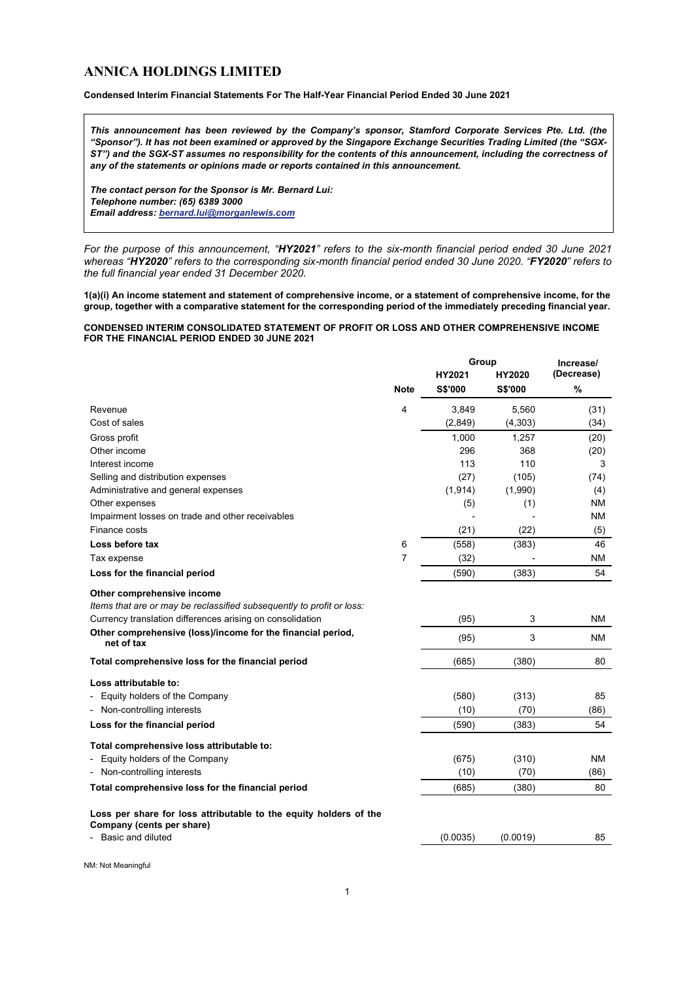# **ANNICA HOLDINGS LIMITED**

# **Condensed Interim Financial Statements For The Half-Year Financial Period Ended 30 June 2021**

*This announcement has been reviewed by the Company's sponsor, Stamford Corporate Services Pte. Ltd. (the "Sponsor"). It has not been examined or approved by the Singapore Exchange Securities Trading Limited (the "SGX-ST") and the SGX-ST assumes no responsibility for the contents of this announcement, including the correctness of any of the statements or opinions made or reports contained in this announcement.*

*The contact person for the Sponsor is Mr. Bernard Lui: Telephone number: (65) 6389 3000 Email address[: bernard.lui@morganlewis.com](mailto:bernard.lui@morganlewis.com)*

*For the purpose of this announcement, "HY2021" refers to the six-month financial period ended 30 June 2021 whereas "HY2020" refers to the corresponding six-month financial period ended 30 June 2020. "FY2020" refers to the full financial year ended 31 December 2020.*

**1(a)(i) An income statement and statement of comprehensive income, or a statement of comprehensive income, for the group, together with a comparative statement for the corresponding period of the immediately preceding financial year.**

# **CONDENSED INTERIM CONSOLIDATED STATEMENT OF PROFIT OR LOSS AND OTHER COMPREHENSIVE INCOME FOR THE FINANCIAL PERIOD ENDED 30 JUNE 2021**

|                                                                                                     |             | Group    |          | Increase/  |  |
|-----------------------------------------------------------------------------------------------------|-------------|----------|----------|------------|--|
|                                                                                                     |             | HY2021   | HY2020   | (Decrease) |  |
|                                                                                                     | <b>Note</b> | S\$'000  | S\$'000  | %          |  |
| Revenue                                                                                             | 4           | 3,849    | 5,560    | (31)       |  |
| Cost of sales                                                                                       |             | (2,849)  | (4,303)  | (34)       |  |
| Gross profit                                                                                        |             | 1,000    | 1,257    | (20)       |  |
| Other income                                                                                        |             | 296      | 368      | (20)       |  |
| Interest income                                                                                     |             | 113      | 110      | 3          |  |
| Selling and distribution expenses                                                                   |             | (27)     | (105)    | (74)       |  |
| Administrative and general expenses                                                                 |             | (1, 914) | (1,990)  | (4)        |  |
| Other expenses                                                                                      |             | (5)      | (1)      | ΝM         |  |
| Impairment losses on trade and other receivables                                                    |             |          |          | <b>NM</b>  |  |
| Finance costs                                                                                       |             | (21)     | (22)     | (5)        |  |
| Loss before tax                                                                                     | 6           | (558)    | (383)    | 46         |  |
| Tax expense                                                                                         | 7           | (32)     |          | <b>NM</b>  |  |
| Loss for the financial period                                                                       |             | (590)    | (383)    | 54         |  |
| Other comprehensive income<br>Items that are or may be reclassified subsequently to profit or loss: |             |          |          |            |  |
| Currency translation differences arising on consolidation                                           |             | (95)     | 3        | NM         |  |
| Other comprehensive (loss)/income for the financial period,<br>net of tax                           |             | (95)     | 3        | <b>NM</b>  |  |
| Total comprehensive loss for the financial period                                                   |             | (685)    | (380)    | 80         |  |
| Loss attributable to:                                                                               |             |          |          |            |  |
| Equity holders of the Company                                                                       |             | (580)    | (313)    | 85         |  |
| - Non-controlling interests                                                                         |             | (10)     | (70)     | (86)       |  |
| Loss for the financial period                                                                       |             | (590)    | (383)    | 54         |  |
| Total comprehensive loss attributable to:                                                           |             |          |          |            |  |
| Equity holders of the Company                                                                       |             | (675)    | (310)    | <b>NM</b>  |  |
| - Non-controlling interests                                                                         |             | (10)     | (70)     | (86)       |  |
| Total comprehensive loss for the financial period                                                   |             | (685)    | (380)    | 80         |  |
| Loss per share for loss attributable to the equity holders of the<br>Company (cents per share)      |             |          |          |            |  |
| - Basic and diluted                                                                                 |             | (0.0035) | (0.0019) | 85         |  |
|                                                                                                     |             |          |          |            |  |

NM: Not Meaningful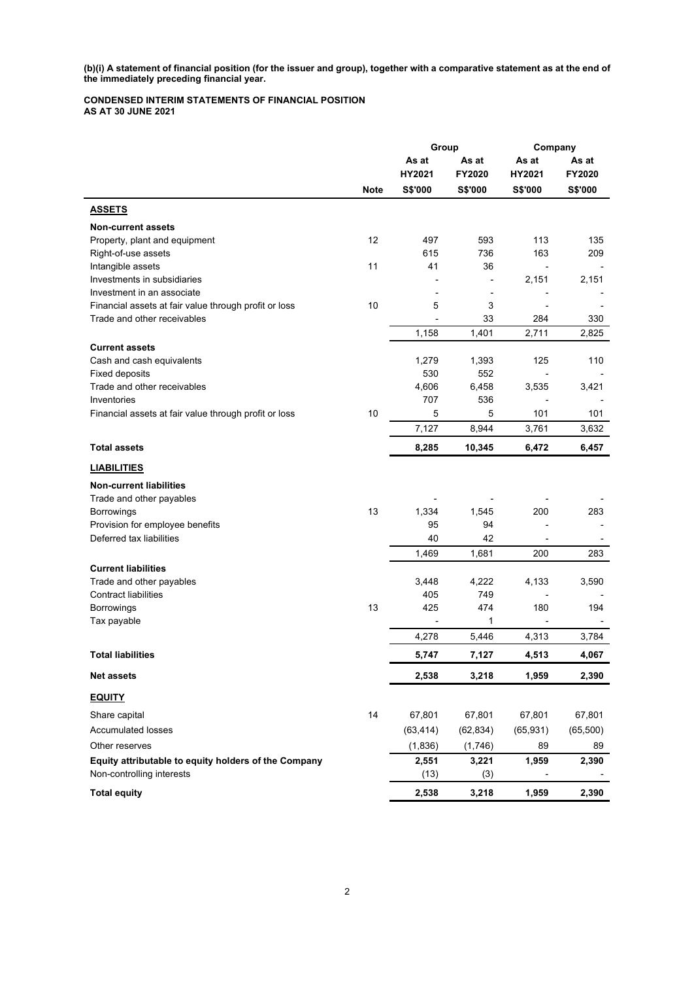**(b)(i) A statement of financial position (for the issuer and group), together with a comparative statement as at the end of the immediately preceding financial year.** 

**CONDENSED INTERIM STATEMENTS OF FINANCIAL POSITION AS AT 30 JUNE 2021**

|                                                                                      |             | Group       |                  | Company      |          |
|--------------------------------------------------------------------------------------|-------------|-------------|------------------|--------------|----------|
|                                                                                      |             | As at       | As at            | As at        | As at    |
|                                                                                      |             | HY2021      | FY2020           | HY2021       | FY2020   |
|                                                                                      | <b>Note</b> | S\$'000     | S\$'000          | S\$'000      | S\$'000  |
| <b>ASSETS</b>                                                                        |             |             |                  |              |          |
| <b>Non-current assets</b>                                                            |             |             |                  |              |          |
| Property, plant and equipment                                                        | 12          | 497         | 593              | 113          | 135      |
| Right-of-use assets                                                                  |             | 615         | 736              | 163          | 209      |
| Intangible assets                                                                    | 11          | 41          | 36               |              |          |
| Investments in subsidiaries                                                          |             |             |                  | 2,151        | 2,151    |
| Investment in an associate                                                           |             |             |                  |              |          |
| Financial assets at fair value through profit or loss<br>Trade and other receivables | 10          | 5           | 3<br>33          |              |          |
|                                                                                      |             |             |                  | 284<br>2,711 | 330      |
|                                                                                      |             | 1,158       | 1,401            |              | 2,825    |
| <b>Current assets</b><br>Cash and cash equivalents                                   |             | 1,279       | 1,393            | 125          | 110      |
| <b>Fixed deposits</b>                                                                |             | 530         | 552              |              |          |
| Trade and other receivables                                                          |             | 4,606       | 6,458            | 3,535        | 3,421    |
| Inventories                                                                          |             | 707         | 536              |              |          |
| Financial assets at fair value through profit or loss                                | 10          | 5           | 5                | 101          | 101      |
|                                                                                      |             | 7,127       | 8,944            | 3,761        | 3,632    |
| <b>Total assets</b>                                                                  |             | 8,285       | 10,345           | 6,472        | 6,457    |
|                                                                                      |             |             |                  |              |          |
| <b>LIABILITIES</b>                                                                   |             |             |                  |              |          |
| <b>Non-current liabilities</b>                                                       |             |             |                  |              |          |
| Trade and other payables                                                             | 13          |             |                  |              |          |
| <b>Borrowings</b><br>Provision for employee benefits                                 |             | 1,334<br>95 | 1,545<br>94      | 200          | 283      |
| Deferred tax liabilities                                                             |             | 40          | 42               |              |          |
|                                                                                      |             | 1,469       | 1,681            | 200          | 283      |
| <b>Current liabilities</b>                                                           |             |             |                  |              |          |
| Trade and other payables                                                             |             | 3,448       | 4,222            | 4,133        | 3,590    |
| <b>Contract liabilities</b>                                                          |             | 405         | 749              |              |          |
| Borrowings                                                                           | 13          | 425         | 474              | 180          | 194      |
| Tax payable                                                                          |             |             | 1                |              |          |
|                                                                                      |             | 4,278       | 5,446            | 4,313        | 3,784    |
| <b>Total liabilities</b>                                                             |             | 5.747       | 7,127            | 4,513        | 4,067    |
| <b>Net assets</b>                                                                    |             | 2,538       | 3,218            | 1,959        | 2,390    |
| <b>EQUITY</b>                                                                        |             |             |                  |              |          |
| Share capital                                                                        | 14          | 67,801      | 67,801           | 67,801       | 67,801   |
| <b>Accumulated losses</b>                                                            |             | (63, 414)   | (62, 834)        | (65, 931)    | (65,500) |
| Other reserves                                                                       |             | (1,836)     |                  | 89           | 89       |
| Equity attributable to equity holders of the Company                                 |             | 2,551       | (1,746)<br>3,221 | 1,959        | 2,390    |
| Non-controlling interests                                                            |             | (13)        | (3)              |              |          |
| <b>Total equity</b>                                                                  |             | 2,538       | 3,218            | 1,959        | 2,390    |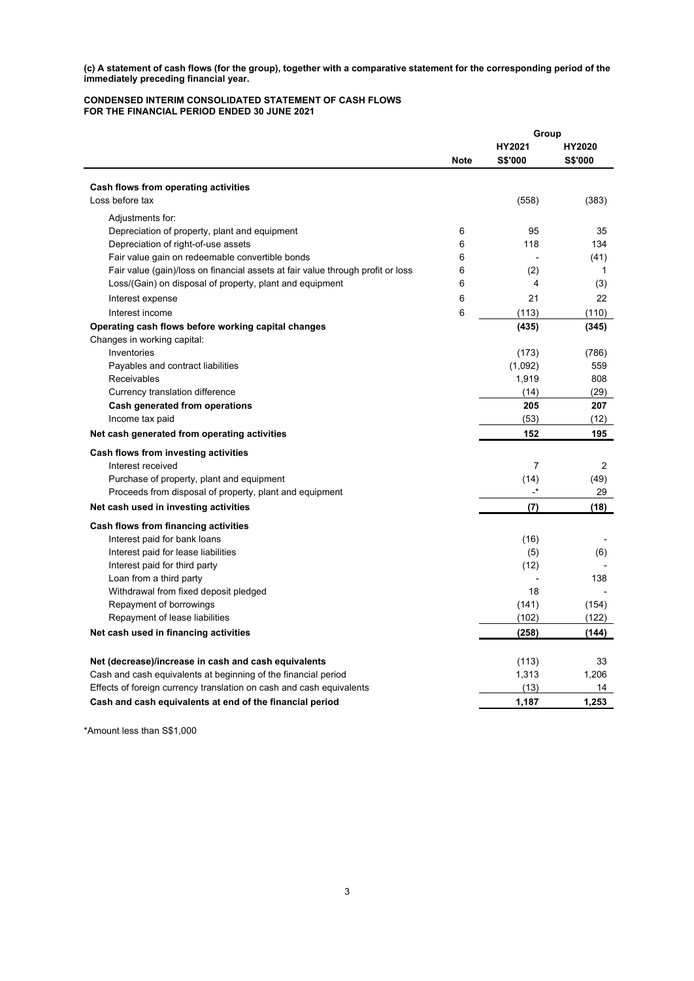**(c) A statement of cash flows (for the group), together with a comparative statement for the corresponding period of the immediately preceding financial year.**

## **CONDENSED INTERIM CONSOLIDATED STATEMENT OF CASH FLOWS FOR THE FINANCIAL PERIOD ENDED 30 JUNE 2021**

|                                                                                 |             | Group     |                |  |
|---------------------------------------------------------------------------------|-------------|-----------|----------------|--|
|                                                                                 |             | HY2021    | HY2020         |  |
|                                                                                 | <b>Note</b> | S\$'000   | <b>S\$'000</b> |  |
|                                                                                 |             |           |                |  |
| Cash flows from operating activities<br>Loss before tax                         |             | (558)     | (383)          |  |
|                                                                                 |             |           |                |  |
| Adiustments for:                                                                |             |           |                |  |
| Depreciation of property, plant and equipment                                   | 6           | 95        | 35             |  |
| Depreciation of right-of-use assets                                             | 6           | 118       | 134            |  |
| Fair value gain on redeemable convertible bonds                                 | 6           |           | (41)           |  |
| Fair value (gain)/loss on financial assets at fair value through profit or loss | 6           | (2)       | 1              |  |
| Loss/(Gain) on disposal of property, plant and equipment                        | 6           | 4         | (3)            |  |
| Interest expense                                                                | 6           | 21        | 22             |  |
| Interest income                                                                 | 6           | (113)     | (110)          |  |
| Operating cash flows before working capital changes                             |             | (435)     | (345)          |  |
| Changes in working capital:                                                     |             |           |                |  |
| Inventories                                                                     |             | (173)     | (786)          |  |
| Payables and contract liabilities                                               |             | (1,092)   | 559            |  |
| Receivables                                                                     |             | 1,919     | 808            |  |
| Currency translation difference                                                 |             | (14)      | (29)           |  |
| Cash generated from operations                                                  |             | 205       | 207            |  |
| Income tax paid                                                                 |             | (53)      | (12)           |  |
| Net cash generated from operating activities                                    |             | 152       | 195            |  |
| Cash flows from investing activities                                            |             |           |                |  |
| Interest received                                                               |             | 7         | 2              |  |
| Purchase of property, plant and equipment                                       |             | (14)      | (49)           |  |
| Proceeds from disposal of property, plant and equipment                         |             | $\cdot^*$ | 29             |  |
| Net cash used in investing activities                                           |             | (7)       | (18)           |  |
| Cash flows from financing activities                                            |             |           |                |  |
| Interest paid for bank loans                                                    |             | (16)      |                |  |
| Interest paid for lease liabilities                                             |             | (5)       | (6)            |  |
| Interest paid for third party                                                   |             | (12)      |                |  |
| Loan from a third party                                                         |             |           | 138            |  |
| Withdrawal from fixed deposit pledged                                           |             | 18        |                |  |
| Repayment of borrowings                                                         |             | (141)     | (154)          |  |
| Repayment of lease liabilities                                                  |             | (102)     | (122)          |  |
| Net cash used in financing activities                                           |             | (258)     | (144)          |  |
|                                                                                 |             |           |                |  |
| Net (decrease)/increase in cash and cash equivalents                            |             | (113)     | 33             |  |
| Cash and cash equivalents at beginning of the financial period                  |             | 1,313     | 1.206          |  |
| Effects of foreign currency translation on cash and cash equivalents            |             | (13)      | 14             |  |
| Cash and cash equivalents at end of the financial period                        |             | 1,187     | 1,253          |  |

\*Amount less than S\$1,000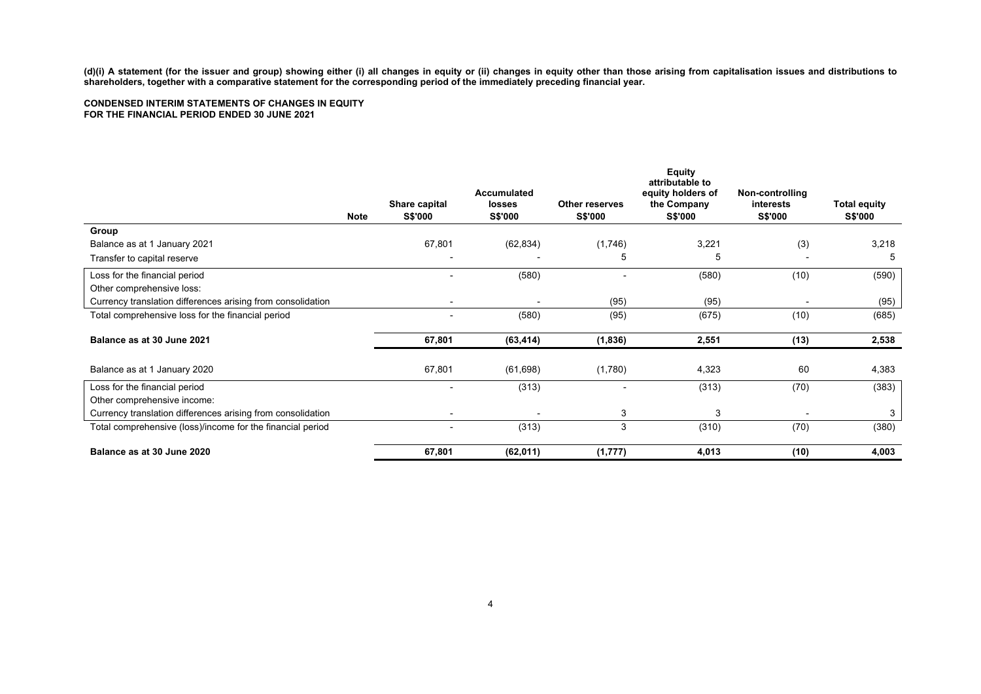**(d)(i) A statement (for the issuer and group) showing either (i) all changes in equity or (ii) changes in equity other than those arising from capitalisation issues and distributions to shareholders, together with a comparative statement for the corresponding period of the immediately preceding financial year.**

# **CONDENSED INTERIM STATEMENTS OF CHANGES IN EQUITY FOR THE FINANCIAL PERIOD ENDED 30 JUNE 2021**

|                                                             | <b>Note</b> | Share capital<br><b>S\$'000</b> | Accumulated<br>losses<br><b>S\$'000</b> | <b>Other reserves</b><br><b>S\$'000</b> | <b>Equity</b><br>attributable to<br>equity holders of<br>the Company<br><b>S\$'000</b> | Non-controlling<br>interests<br><b>S\$'000</b> | <b>Total equity</b><br><b>S\$'000</b> |
|-------------------------------------------------------------|-------------|---------------------------------|-----------------------------------------|-----------------------------------------|----------------------------------------------------------------------------------------|------------------------------------------------|---------------------------------------|
| Group                                                       |             |                                 |                                         |                                         |                                                                                        |                                                |                                       |
| Balance as at 1 January 2021                                |             | 67,801                          | (62, 834)                               | (1,746)                                 | 3,221                                                                                  | (3)                                            | 3,218                                 |
| Transfer to capital reserve                                 |             |                                 |                                         | 5                                       | 5                                                                                      |                                                | 5                                     |
| Loss for the financial period                               |             |                                 | (580)                                   |                                         | (580)                                                                                  | (10)                                           | (590)                                 |
| Other comprehensive loss:                                   |             |                                 |                                         |                                         |                                                                                        |                                                |                                       |
| Currency translation differences arising from consolidation |             |                                 | $\blacksquare$                          | (95)                                    | (95)                                                                                   |                                                | (95)                                  |
| Total comprehensive loss for the financial period           |             |                                 | (580)                                   | (95)                                    | (675)                                                                                  | (10)                                           | (685)                                 |
| Balance as at 30 June 2021                                  |             | 67,801                          | (63, 414)                               | (1,836)                                 | 2,551                                                                                  | (13)                                           | 2,538                                 |
| Balance as at 1 January 2020                                |             | 67,801                          | (61, 698)                               | (1,780)                                 | 4,323                                                                                  | 60                                             | 4,383                                 |
| Loss for the financial period                               |             |                                 | (313)                                   |                                         | (313)                                                                                  | (70)                                           | (383)                                 |
| Other comprehensive income:                                 |             |                                 |                                         |                                         |                                                                                        |                                                |                                       |
| Currency translation differences arising from consolidation |             |                                 |                                         | 3                                       | 3                                                                                      |                                                | 3                                     |
| Total comprehensive (loss)/income for the financial period  |             | $\blacksquare$                  | (313)                                   | 3                                       | (310)                                                                                  | (70)                                           | (380)                                 |
| Balance as at 30 June 2020                                  |             | 67,801                          | (62, 011)                               | (1, 777)                                | 4,013                                                                                  | (10)                                           | 4,003                                 |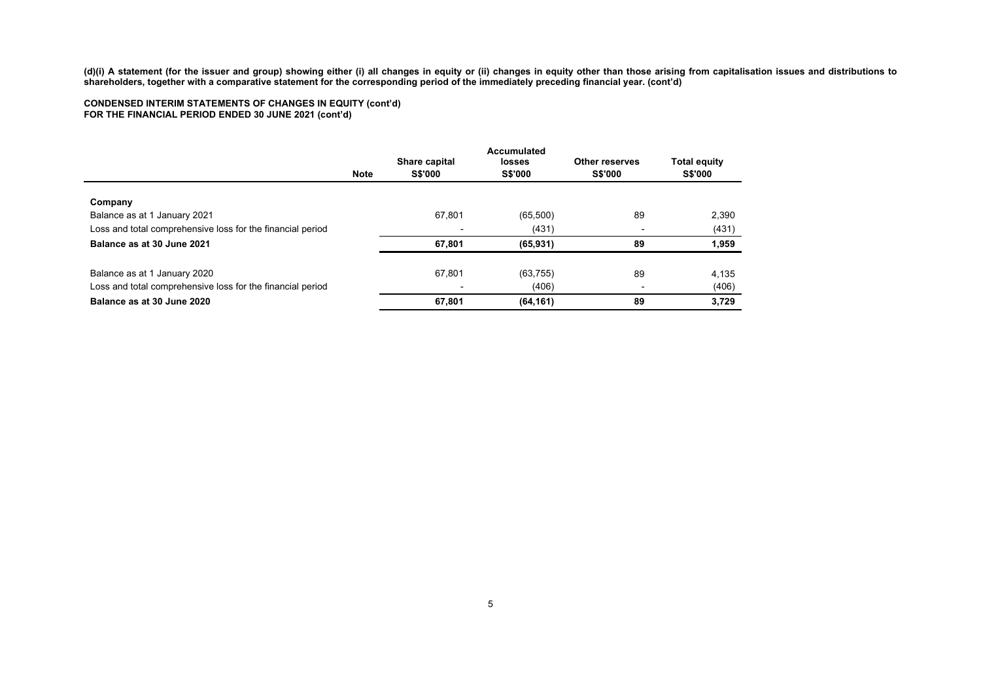**(d)(i) A statement (for the issuer and group) showing either (i) all changes in equity or (ii) changes in equity other than those arising from capitalisation issues and distributions to shareholders, together with a comparative statement for the corresponding period of the immediately preceding financial year. (cont'd)**

# **CONDENSED INTERIM STATEMENTS OF CHANGES IN EQUITY (cont'd) FOR THE FINANCIAL PERIOD ENDED 30 JUNE 2021 (cont'd)**

|                                                            | <b>Note</b> | Share capital<br><b>S\$'000</b> | Accumulated<br>losses<br><b>S\$'000</b> | Other reserves<br><b>S\$'000</b> | <b>Total equity</b><br><b>S\$'000</b> |
|------------------------------------------------------------|-------------|---------------------------------|-----------------------------------------|----------------------------------|---------------------------------------|
| Company                                                    |             |                                 |                                         |                                  |                                       |
| Balance as at 1 January 2021                               |             | 67.801                          | (65, 500)                               | 89                               | 2,390                                 |
| Loss and total comprehensive loss for the financial period |             |                                 | (431)                                   |                                  | (431)                                 |
| Balance as at 30 June 2021                                 |             | 67.801                          | (65, 931)                               | 89                               | 1,959                                 |
| Balance as at 1 January 2020                               |             | 67.801                          | (63, 755)                               | 89                               | 4,135                                 |
| Loss and total comprehensive loss for the financial period |             |                                 | (406)                                   |                                  | (406)                                 |
| Balance as at 30 June 2020                                 |             | 67,801                          | (64, 161)                               | 89                               | 3,729                                 |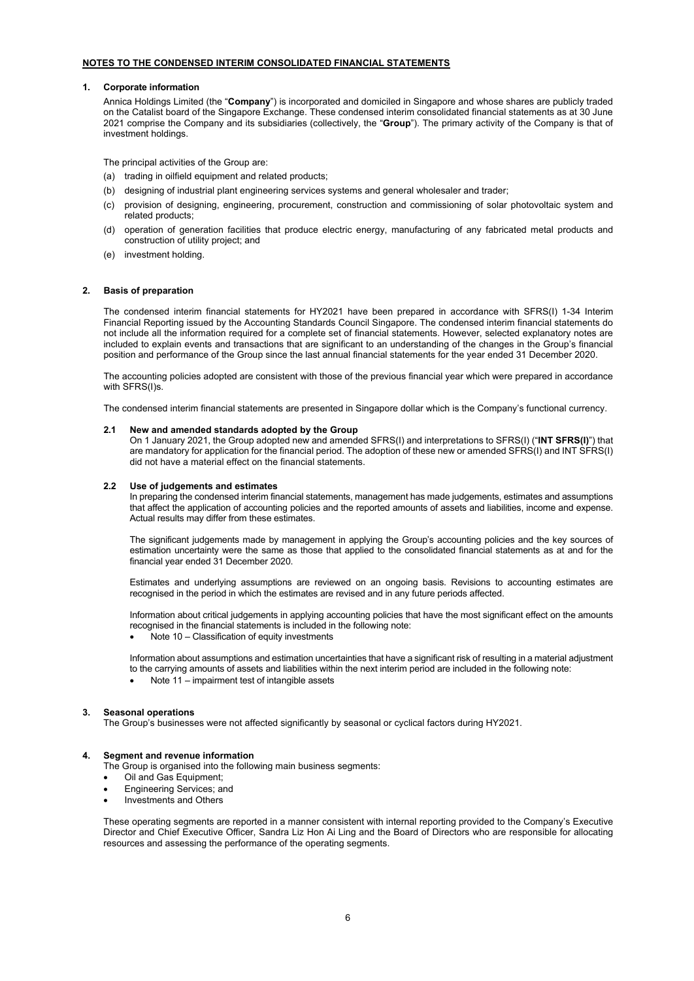# **NOTES TO THE CONDENSED INTERIM CONSOLIDATED FINANCIAL STATEMENTS**

## **1. Corporate information**

Annica Holdings Limited (the "**Company**") is incorporated and domiciled in Singapore and whose shares are publicly traded on the Catalist board of the Singapore Exchange. These condensed interim consolidated financial statements as at 30 June 2021 comprise the Company and its subsidiaries (collectively, the "**Group**"). The primary activity of the Company is that of investment holdings.

The principal activities of the Group are:

- (a) trading in oilfield equipment and related products;
- (b) designing of industrial plant engineering services systems and general wholesaler and trader;
- (c) provision of designing, engineering, procurement, construction and commissioning of solar photovoltaic system and related products;
- (d) operation of generation facilities that produce electric energy, manufacturing of any fabricated metal products and construction of utility project; and
- (e) investment holding.

## **2. Basis of preparation**

The condensed interim financial statements for HY2021 have been prepared in accordance with SFRS(I) 1-34 Interim Financial Reporting issued by the Accounting Standards Council Singapore. The condensed interim financial statements do not include all the information required for a complete set of financial statements. However, selected explanatory notes are included to explain events and transactions that are significant to an understanding of the changes in the Group's financial position and performance of the Group since the last annual financial statements for the year ended 31 December 2020.

The accounting policies adopted are consistent with those of the previous financial year which were prepared in accordance with SFRS(I)s.

The condensed interim financial statements are presented in Singapore dollar which is the Company's functional currency.

### **2.1 New and amended standards adopted by the Group**

On 1 January 2021, the Group adopted new and amended SFRS(I) and interpretations to SFRS(I) ("**INT SFRS(I)**") that are mandatory for application for the financial period. The adoption of these new or amended SFRS(I) and INT SFRS(I) did not have a material effect on the financial statements.

## **2.2 Use of judgements and estimates**

In preparing the condensed interim financial statements, management has made judgements, estimates and assumptions that affect the application of accounting policies and the reported amounts of assets and liabilities, income and expense. Actual results may differ from these estimates.

The significant judgements made by management in applying the Group's accounting policies and the key sources of estimation uncertainty were the same as those that applied to the consolidated financial statements as at and for the financial year ended 31 December 2020.

Estimates and underlying assumptions are reviewed on an ongoing basis. Revisions to accounting estimates are recognised in the period in which the estimates are revised and in any future periods affected.

Information about critical judgements in applying accounting policies that have the most significant effect on the amounts recognised in the financial statements is included in the following note:

Note 10 – Classification of equity investments

Information about assumptions and estimation uncertainties that have a significant risk of resulting in a material adjustment to the carrying amounts of assets and liabilities within the next interim period are included in the following note:

• Note 11 – impairment test of intangible assets

# **3. Seasonal operations**

The Group's businesses were not affected significantly by seasonal or cyclical factors during HY2021.

### **4. Segment and revenue information**

The Group is organised into the following main business segments:

- Oil and Gas Equipment;
- Engineering Services; and
- Investments and Others

These operating segments are reported in a manner consistent with internal reporting provided to the Company's Executive Director and Chief Executive Officer, Sandra Liz Hon Ai Ling and the Board of Directors who are responsible for allocating resources and assessing the performance of the operating segments.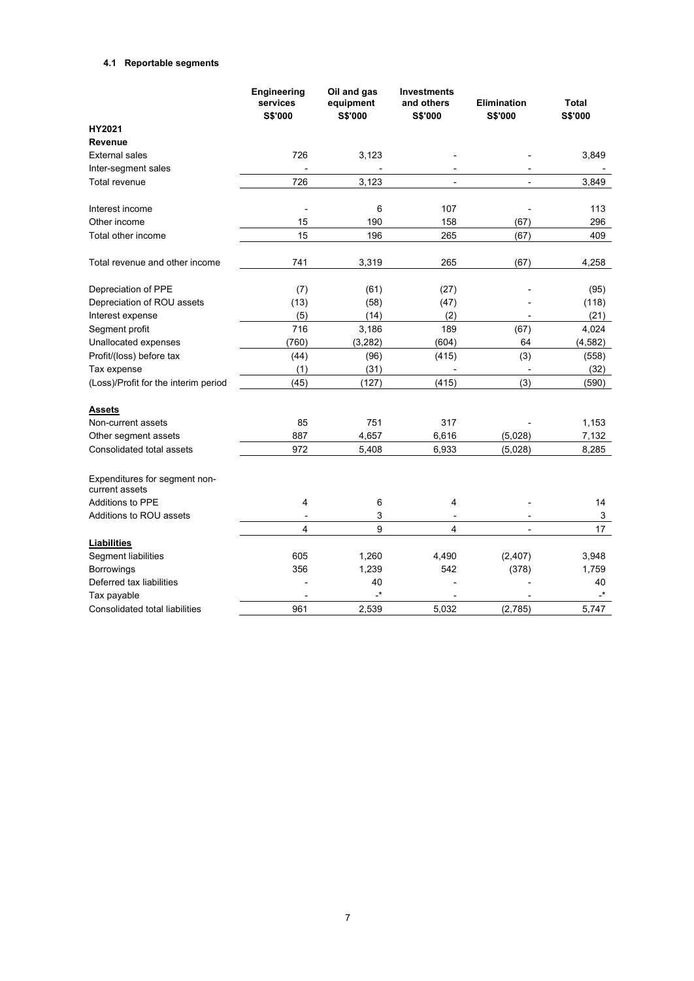# **4.1 Reportable segments**

|                                                 | Engineering<br>services<br><b>S\$'000</b> | Oil and gas<br>equipment<br>S\$'000 | <b>Investments</b><br>and others<br>S\$'000 | <b>Elimination</b><br><b>S\$'000</b> | <b>Total</b><br><b>S\$'000</b> |
|-------------------------------------------------|-------------------------------------------|-------------------------------------|---------------------------------------------|--------------------------------------|--------------------------------|
| HY2021                                          |                                           |                                     |                                             |                                      |                                |
| Revenue                                         |                                           |                                     |                                             |                                      |                                |
| <b>External sales</b>                           | 726                                       | 3,123                               |                                             |                                      | 3,849                          |
| Inter-segment sales                             |                                           |                                     |                                             |                                      |                                |
| Total revenue                                   | 726                                       | 3,123                               | $\overline{\phantom{0}}$                    | $\overline{a}$                       | 3,849                          |
| Interest income                                 | L,                                        | 6                                   | 107                                         |                                      | 113                            |
| Other income                                    | 15                                        | 190                                 | 158                                         | (67)                                 | 296                            |
| Total other income                              | 15                                        | 196                                 | 265                                         | (67)                                 | 409                            |
| Total revenue and other income                  | 741                                       | 3,319                               | 265                                         | (67)                                 | 4,258                          |
| Depreciation of PPE                             | (7)                                       | (61)                                | (27)                                        |                                      | (95)                           |
| Depreciation of ROU assets                      | (13)                                      | (58)                                | (47)                                        |                                      | (118)                          |
| Interest expense                                | (5)                                       | (14)                                | (2)                                         |                                      | (21)                           |
| Segment profit                                  | 716                                       | 3,186                               | 189                                         | (67)                                 | 4,024                          |
| Unallocated expenses                            | (760)                                     | (3, 282)                            | (604)                                       | 64                                   | (4, 582)                       |
| Profit/(loss) before tax                        | (44)                                      | (96)                                | (415)                                       | (3)                                  | (558)                          |
| Tax expense                                     | (1)                                       | (31)                                |                                             |                                      | (32)                           |
| (Loss)/Profit for the interim period            | (45)                                      | (127)                               | (415)                                       | (3)                                  | (590)                          |
| Assets                                          |                                           |                                     |                                             |                                      |                                |
| Non-current assets                              | 85                                        | 751                                 | 317                                         |                                      | 1,153                          |
| Other segment assets                            | 887                                       | 4,657                               | 6,616                                       | (5,028)                              | 7,132                          |
| Consolidated total assets                       | 972                                       | 5,408                               | 6,933                                       | (5,028)                              | 8,285                          |
| Expenditures for segment non-<br>current assets |                                           |                                     |                                             |                                      |                                |
| <b>Additions to PPE</b>                         | 4                                         | 6                                   | 4                                           |                                      | 14                             |
| Additions to ROU assets                         |                                           | 3                                   |                                             |                                      | 3                              |
|                                                 | 4                                         | 9                                   | 4                                           |                                      | 17                             |
| <b>Liabilities</b>                              |                                           |                                     |                                             |                                      |                                |
| Segment liabilities                             | 605                                       | 1,260                               | 4,490                                       | (2, 407)                             | 3,948                          |
| <b>Borrowings</b>                               | 356                                       | 1,239                               | 542                                         | (378)                                | 1,759                          |
| Deferred tax liabilities                        |                                           | 40                                  |                                             |                                      | 40                             |
| Tax payable                                     |                                           | $\cdot^*$                           |                                             |                                      | -*                             |
| Consolidated total liabilities                  | 961                                       | 2,539                               | 5,032                                       | (2,785)                              | 5.747                          |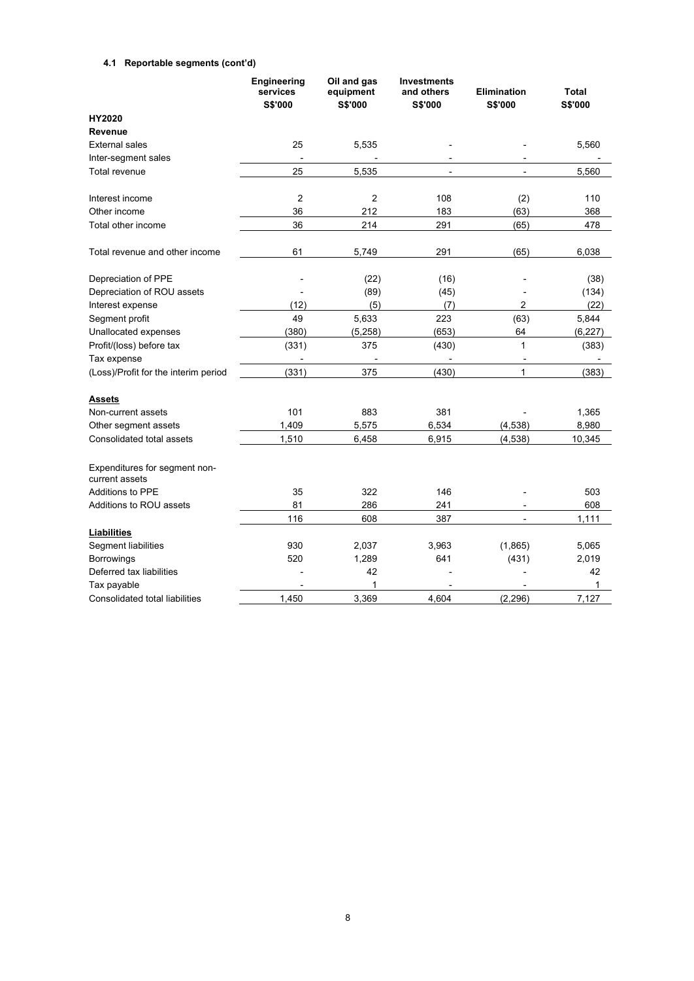# **4.1 Reportable segments (cont'd)**

|                                                 | Engineering<br>services<br>S\$'000 | Oil and gas<br>equipment<br>S\$'000 | <b>Investments</b><br>and others<br>S\$'000 | <b>Elimination</b><br><b>S\$'000</b> | Total<br>S\$'000 |
|-------------------------------------------------|------------------------------------|-------------------------------------|---------------------------------------------|--------------------------------------|------------------|
| HY2020                                          |                                    |                                     |                                             |                                      |                  |
| <b>Revenue</b>                                  |                                    |                                     |                                             |                                      |                  |
| <b>External sales</b>                           | 25                                 | 5,535                               |                                             |                                      | 5,560            |
| Inter-segment sales                             |                                    |                                     | $\overline{\phantom{a}}$                    |                                      |                  |
| Total revenue                                   | 25                                 | 5,535                               | $\overline{\phantom{a}}$                    | $\overline{\phantom{a}}$             | 5,560            |
| Interest income                                 | 2                                  | $\overline{2}$                      | 108                                         | (2)                                  | 110              |
| Other income                                    | 36                                 | 212                                 | 183                                         | (63)                                 | 368              |
| Total other income                              | 36                                 | 214                                 | 291                                         | (65)                                 | 478              |
| Total revenue and other income                  | 61                                 | 5,749                               | 291                                         | (65)                                 | 6,038            |
| Depreciation of PPE                             |                                    | (22)                                | (16)                                        |                                      | (38)             |
| Depreciation of ROU assets                      |                                    | (89)                                | (45)                                        |                                      | (134)            |
| Interest expense                                | (12)                               | (5)                                 | (7)                                         | 2                                    | (22)             |
| Segment profit                                  | 49                                 | 5,633                               | 223                                         | (63)                                 | 5,844            |
| Unallocated expenses                            | (380)                              | (5, 258)                            | (653)                                       | 64                                   | (6, 227)         |
| Profit/(loss) before tax                        | (331)                              | 375                                 | (430)                                       | $\mathbf{1}$                         | (383)            |
| Tax expense                                     | $\overline{\phantom{a}}$           | $\overline{a}$                      | $\overline{\phantom{a}}$                    | $\overline{a}$                       |                  |
| (Loss)/Profit for the interim period            | (331)                              | 375                                 | (430)                                       | $\mathbf{1}$                         | (383)            |
| <b>Assets</b>                                   |                                    |                                     |                                             |                                      |                  |
| Non-current assets                              | 101                                | 883                                 | 381                                         |                                      | 1,365            |
| Other segment assets                            | 1,409                              | 5,575                               | 6,534                                       | (4,538)                              | 8,980            |
| Consolidated total assets                       | 1,510                              | 6,458                               | 6,915                                       | (4, 538)                             | 10,345           |
| Expenditures for segment non-<br>current assets |                                    |                                     |                                             |                                      |                  |
| <b>Additions to PPE</b>                         | 35                                 | 322                                 | 146                                         |                                      | 503              |
| Additions to ROU assets                         | 81                                 | 286                                 | 241                                         |                                      | 608              |
|                                                 | 116                                | 608                                 | 387                                         |                                      | 1,111            |
| <b>Liabilities</b>                              |                                    |                                     |                                             |                                      |                  |
| Segment liabilities                             | 930                                | 2,037                               | 3,963                                       | (1,865)                              | 5,065            |
| <b>Borrowings</b>                               | 520                                | 1,289                               | 641                                         | (431)                                | 2,019            |
| Deferred tax liabilities                        |                                    | 42                                  |                                             |                                      | 42               |
| Tax payable                                     |                                    | 1                                   |                                             |                                      | 1                |
| Consolidated total liabilities                  | 1.450                              | 3.369                               | 4.604                                       | (2, 296)                             | 7.127            |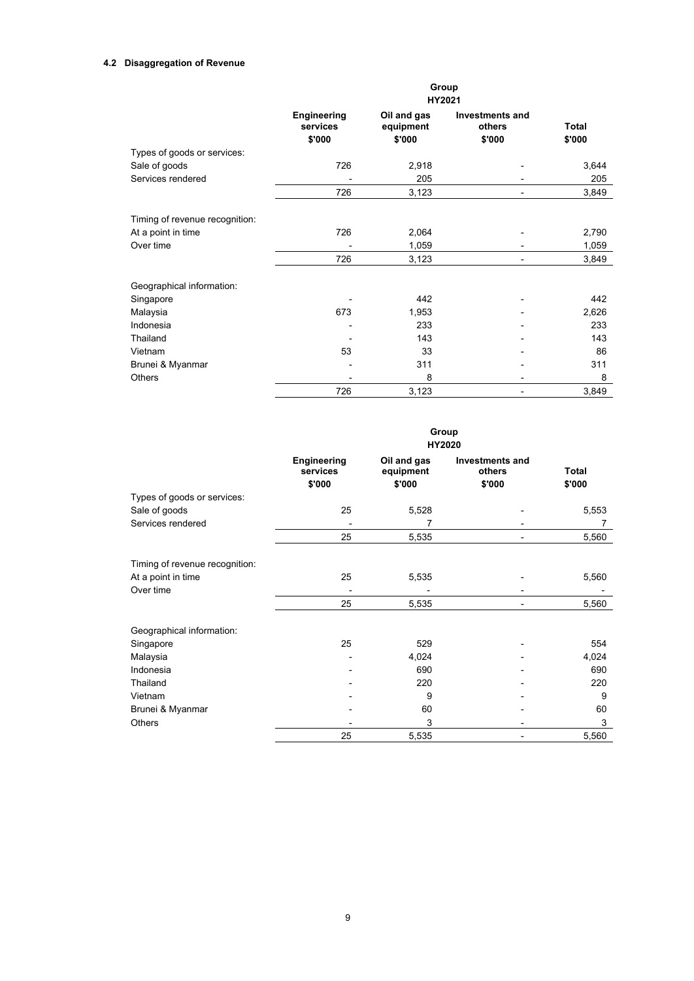# **4.2 Disaggregation of Revenue**

|                                | Group<br>HY2021         |                          |                           |        |  |  |
|--------------------------------|-------------------------|--------------------------|---------------------------|--------|--|--|
|                                | Engineering<br>services | Oil and gas<br>equipment | Investments and<br>others | Total  |  |  |
|                                | \$'000                  | \$'000                   | \$'000                    | \$'000 |  |  |
| Types of goods or services:    |                         |                          |                           |        |  |  |
| Sale of goods                  | 726                     | 2,918                    |                           | 3,644  |  |  |
| Services rendered              |                         | 205                      |                           | 205    |  |  |
|                                | 726                     | 3,123                    | $\overline{a}$            | 3,849  |  |  |
| Timing of revenue recognition: |                         |                          |                           |        |  |  |
| At a point in time             | 726                     | 2,064                    |                           | 2,790  |  |  |
| Over time                      |                         | 1,059                    |                           | 1,059  |  |  |
|                                | 726                     | 3,123                    | -                         | 3,849  |  |  |
| Geographical information:      |                         |                          |                           |        |  |  |
| Singapore                      |                         | 442                      |                           | 442    |  |  |
| Malaysia                       | 673                     | 1,953                    |                           | 2,626  |  |  |
| Indonesia                      |                         | 233                      |                           | 233    |  |  |
| Thailand                       |                         | 143                      |                           | 143    |  |  |
| Vietnam                        | 53                      | 33                       |                           | 86     |  |  |
| Brunei & Myanmar               |                         | 311                      |                           | 311    |  |  |
| Others                         |                         | 8                        | $\overline{a}$            | 8      |  |  |
|                                | 726                     | 3,123                    | $\overline{\phantom{0}}$  | 3,849  |  |  |

|                                | Group<br>HY2020         |                          |                                  |              |  |  |
|--------------------------------|-------------------------|--------------------------|----------------------------------|--------------|--|--|
|                                | Engineering<br>services | Oil and gas<br>equipment | <b>Investments and</b><br>others | <b>Total</b> |  |  |
|                                | \$'000                  | \$'000                   | \$'000                           | \$'000       |  |  |
| Types of goods or services:    |                         |                          |                                  |              |  |  |
| Sale of goods                  | 25                      | 5,528                    |                                  | 5,553        |  |  |
| Services rendered              |                         | 7                        |                                  |              |  |  |
|                                | 25                      | 5,535                    |                                  | 5,560        |  |  |
| Timing of revenue recognition: |                         |                          |                                  |              |  |  |
| At a point in time             | 25                      | 5,535                    |                                  | 5,560        |  |  |
| Over time                      |                         |                          |                                  |              |  |  |
|                                | 25                      | 5,535                    |                                  | 5,560        |  |  |
| Geographical information:      |                         |                          |                                  |              |  |  |
| Singapore                      | 25                      | 529                      |                                  | 554          |  |  |
| Malaysia                       |                         | 4,024                    |                                  | 4,024        |  |  |
| Indonesia                      |                         | 690                      |                                  | 690          |  |  |
| Thailand                       |                         | 220                      |                                  | 220          |  |  |
| Vietnam                        |                         | 9                        |                                  | 9            |  |  |
| Brunei & Myanmar               |                         | 60                       |                                  | 60           |  |  |
| <b>Others</b>                  |                         | 3                        |                                  | 3            |  |  |
|                                | 25                      | 5,535                    |                                  | 5,560        |  |  |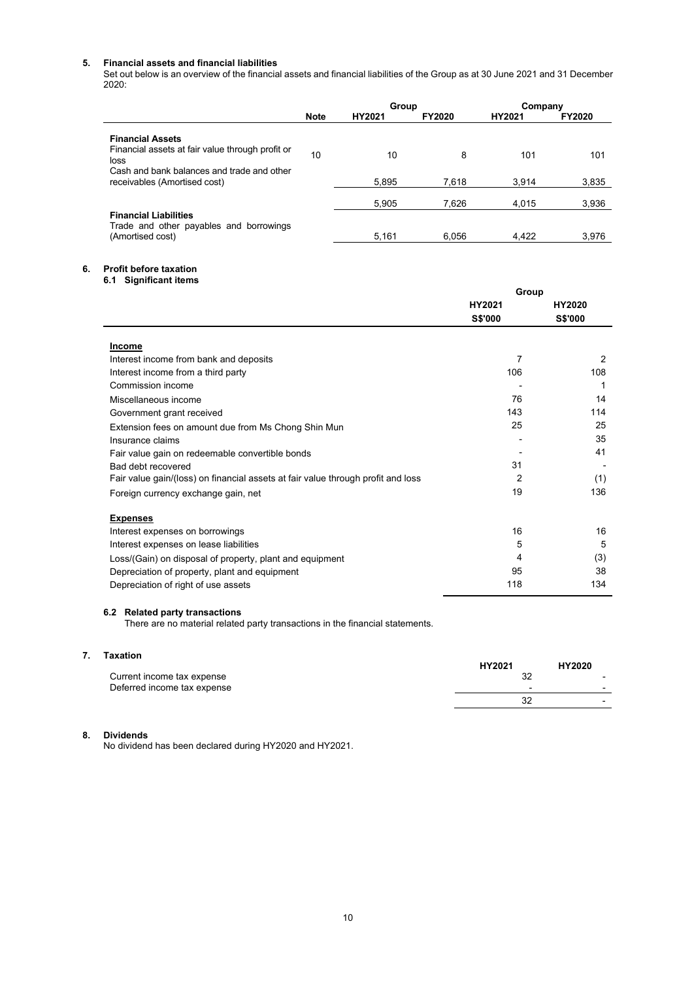# **5. Financial assets and financial liabilities**

Set out below is an overview of the financial assets and financial liabilities of the Group as at 30 June 2021 and 31 December 2020:

|                                                                            |             |        |               | Group  |               | Company |  |
|----------------------------------------------------------------------------|-------------|--------|---------------|--------|---------------|---------|--|
|                                                                            | <b>Note</b> | HY2021 | <b>FY2020</b> | HY2021 | <b>FY2020</b> |         |  |
| <b>Financial Assets</b>                                                    |             |        |               |        |               |         |  |
| Financial assets at fair value through profit or<br>loss                   | 10          | 10     | 8             | 101    | 101           |         |  |
| Cash and bank balances and trade and other<br>receivables (Amortised cost) |             | 5.895  | 7.618         | 3.914  | 3,835         |         |  |
|                                                                            |             | 5.905  | 7.626         | 4.015  | 3,936         |         |  |
| <b>Financial Liabilities</b><br>Trade and other payables and borrowings    |             |        |               |        |               |         |  |
| (Amortised cost)                                                           |             | 5.161  | 6.056         | 4.422  | 3.976         |         |  |

# **6. Profit before taxation**

**6.1 Significant items**

|                                                                                  | Group          |                |  |
|----------------------------------------------------------------------------------|----------------|----------------|--|
|                                                                                  | HY2021         | HY2020         |  |
|                                                                                  | <b>S\$'000</b> | <b>S\$'000</b> |  |
| <b>Income</b>                                                                    |                |                |  |
| Interest income from bank and deposits                                           | 7              | 2              |  |
| Interest income from a third party                                               | 106            | 108            |  |
| Commission income                                                                |                |                |  |
| Miscellaneous income                                                             | 76             | 14             |  |
| Government grant received                                                        | 143            | 114            |  |
| Extension fees on amount due from Ms Chong Shin Mun                              | 25             | 25             |  |
| Insurance claims                                                                 |                | 35             |  |
| Fair value gain on redeemable convertible bonds                                  |                | 41             |  |
| Bad debt recovered                                                               | 31             |                |  |
| Fair value gain/(loss) on financial assets at fair value through profit and loss | 2              | (1)            |  |
| Foreign currency exchange gain, net                                              | 19             | 136            |  |
| <b>Expenses</b>                                                                  |                |                |  |
| Interest expenses on borrowings                                                  | 16             | 16             |  |
| Interest expenses on lease liabilities                                           | 5              | 5              |  |
| Loss/(Gain) on disposal of property, plant and equipment                         | 4              | (3)            |  |
| Depreciation of property, plant and equipment                                    | 95             | 38             |  |
| Depreciation of right of use assets                                              | 118            | 134            |  |

## **6.2 Related party transactions**

There are no material related party transactions in the financial statements.

| Taxation                    | HY2021 | HY2020                                               |
|-----------------------------|--------|------------------------------------------------------|
| Current income tax expense  | 32     | $\overline{\phantom{0}}$                             |
| Deferred income tax expense | 32     | $\overline{\phantom{0}}$<br>$\overline{\phantom{0}}$ |

# **8. Dividends**

No dividend has been declared during HY2020 and HY2021.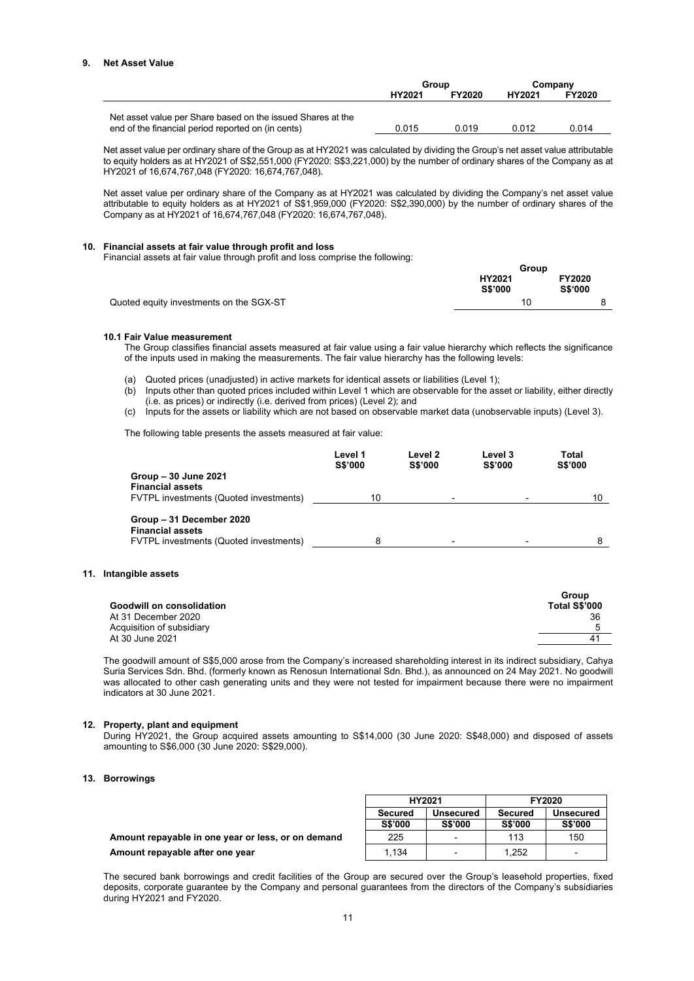# **9. Net Asset Value**

|                                                                                                                   | Group  |               | Company |               |
|-------------------------------------------------------------------------------------------------------------------|--------|---------------|---------|---------------|
|                                                                                                                   | HY2021 | <b>FY2020</b> | HY2021  | <b>FY2020</b> |
| Net asset value per Share based on the issued Shares at the<br>end of the financial period reported on (in cents) | 0.015  | 0.019         | 0.012   | 0.014         |

Net asset value per ordinary share of the Group as at HY2021 was calculated by dividing the Group's net asset value attributable to equity holders as at HY2021 of S\$2,551,000 (FY2020: S\$3,221,000) by the number of ordinary shares of the Company as at HY2021 of 16,674,767,048 (FY2020: 16,674,767,048).

Net asset value per ordinary share of the Company as at HY2021 was calculated by dividing the Company's net asset value attributable to equity holders as at HY2021 of S\$1,959,000 (FY2020: S\$2,390,000) by the number of ordinary shares of the Company as at HY2021 of 16,674,767,048 (FY2020: 16,674,767,048).

## **10. Financial assets at fair value through profit and loss**

Financial assets at fair value through profit and loss comprise the following:

|                                         | Group                    |                                 |
|-----------------------------------------|--------------------------|---------------------------------|
|                                         | HY2021<br><b>S\$'000</b> | <b>FY2020</b><br><b>S\$'000</b> |
| Quoted equity investments on the SGX-ST | 10                       |                                 |

# **10.1 Fair Value measurement**

The Group classifies financial assets measured at fair value using a fair value hierarchy which reflects the significance of the inputs used in making the measurements. The fair value hierarchy has the following levels:

- (a) Quoted prices (unadjusted) in active markets for identical assets or liabilities (Level 1);
- (b) Inputs other than quoted prices included within Level 1 which are observable for the asset or liability, either directly (i.e. as prices) or indirectly (i.e. derived from prices) (Level 2); and
- (c) Inputs for the assets or liability which are not based on observable market data (unobservable inputs) (Level 3).

The following table presents the assets measured at fair value:

|                                                                                               | Level 1<br><b>S\$'000</b> | Level 2<br><b>S\$'000</b> | Level 3<br><b>S\$'000</b> | Total<br><b>S\$'000</b> |
|-----------------------------------------------------------------------------------------------|---------------------------|---------------------------|---------------------------|-------------------------|
| Group - 30 June 2021<br><b>Financial assets</b><br>FVTPL investments (Quoted investments)     | 10                        | $\overline{\phantom{0}}$  |                           | 10                      |
| Group - 31 December 2020<br><b>Financial assets</b><br>FVTPL investments (Quoted investments) |                           | $\overline{\phantom{0}}$  |                           |                         |

### **11. Intangible assets**

|                           | Group         |
|---------------------------|---------------|
| Goodwill on consolidation | Total S\$'000 |
| At 31 December 2020       | 36            |
| Acquisition of subsidiary |               |
| At 30 June 2021           | $4^{\prime}$  |
|                           |               |

The goodwill amount of S\$5,000 arose from the Company's increased shareholding interest in its indirect subsidiary, Cahya Suria Services Sdn. Bhd. (formerly known as Renosun International Sdn. Bhd.), as announced on 24 May 2021. No goodwill was allocated to other cash generating units and they were not tested for impairment because there were no impairment indicators at 30 June 2021.

# **12. Property, plant and equipment**

During HY2021, the Group acquired assets amounting to S\$14,000 (30 June 2020: S\$48,000) and disposed of assets amounting to S\$6,000 (30 June 2020: S\$29,000).

### **13. Borrowings**

|                                                    | <b>HY2021</b>  |                | FY2020  |                          |
|----------------------------------------------------|----------------|----------------|---------|--------------------------|
|                                                    | <b>Secured</b> | Unsecured      | Secured | <b>Unsecured</b>         |
|                                                    | <b>S\$'000</b> | <b>S\$'000</b> | S\$'000 | <b>S\$'000</b>           |
| Amount repayable in one year or less, or on demand | 225            |                | 113     | 150                      |
| Amount repayable after one year                    | 1.134          |                | 1.252   | $\overline{\phantom{0}}$ |

The secured bank borrowings and credit facilities of the Group are secured over the Group's leasehold properties, fixed deposits, corporate guarantee by the Company and personal guarantees from the directors of the Company's subsidiaries during HY2021 and FY2020.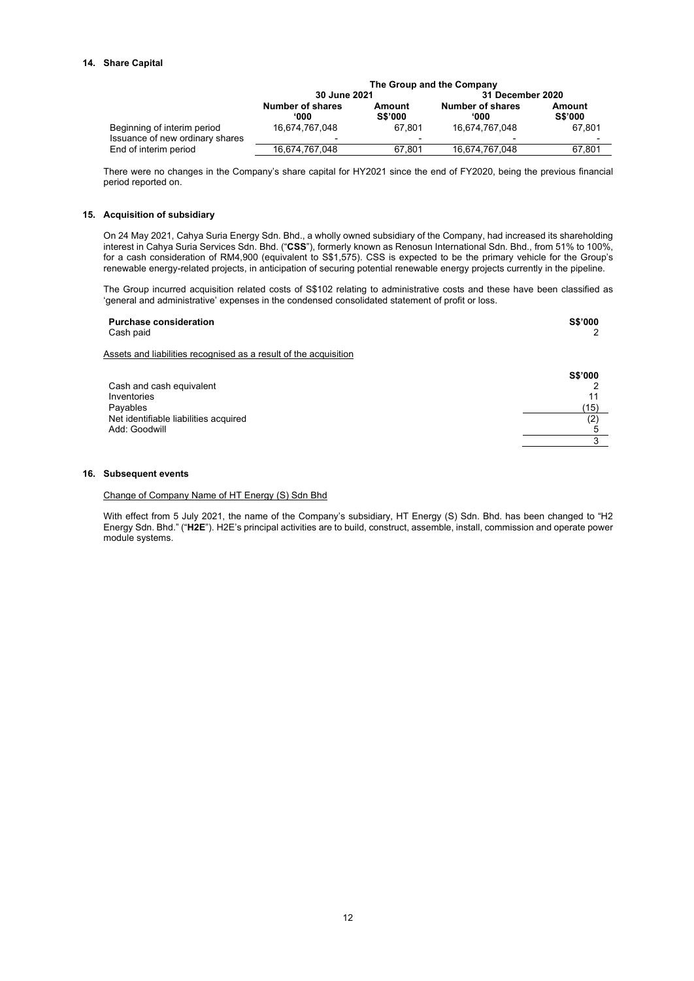# **14. Share Capital**

|                                                                | The Group and the Company        |                                    |                                            |                          |  |
|----------------------------------------------------------------|----------------------------------|------------------------------------|--------------------------------------------|--------------------------|--|
|                                                                | 30 June 2021                     |                                    | 31 December 2020                           |                          |  |
|                                                                | Number of shares<br><b>000</b> ' | Amount<br><b>S\$'000</b>           | <b>Number of shares</b><br><b>000</b> '    | Amount<br><b>S\$'000</b> |  |
| Beginning of interim period<br>Issuance of new ordinary shares | 16.674.767.048                   | 67.801<br>$\overline{\phantom{0}}$ | 16.674.767.048<br>$\overline{\phantom{0}}$ | 67.801                   |  |
| End of interim period                                          | 16.674.767.048                   | 67.801                             | 16,674,767,048                             | 67.801                   |  |

There were no changes in the Company's share capital for HY2021 since the end of FY2020, being the previous financial period reported on.

# **15. Acquisition of subsidiary**

On 24 May 2021, Cahya Suria Energy Sdn. Bhd., a wholly owned subsidiary of the Company, had increased its shareholding interest in Cahya Suria Services Sdn. Bhd. ("**CSS**"), formerly known as Renosun International Sdn. Bhd., from 51% to 100%, for a cash consideration of RM4,900 (equivalent to S\$1,575). CSS is expected to be the primary vehicle for the Group's renewable energy-related projects, in anticipation of securing potential renewable energy projects currently in the pipeline.

The Group incurred acquisition related costs of S\$102 relating to administrative costs and these have been classified as 'general and administrative' expenses in the condensed consolidated statement of profit or loss.

| <b>Purchase consideration</b><br>Cash paid                       | <b>S\$'000</b> |
|------------------------------------------------------------------|----------------|
| Assets and liabilities recognised as a result of the acquisition |                |
| Cash and cash equivalent                                         | <b>S\$'000</b> |
| Inventories                                                      | 11             |
| Payables                                                         | (15)           |
| Net identifiable liabilities acquired                            | (2)            |
| Add: Goodwill                                                    | 5              |
|                                                                  | 3              |

### **16. Subsequent events**

# Change of Company Name of HT Energy (S) Sdn Bhd

With effect from 5 July 2021, the name of the Company's subsidiary, HT Energy (S) Sdn. Bhd. has been changed to "H2 Energy Sdn. Bhd." ("**H2E**"). H2E's principal activities are to build, construct, assemble, install, commission and operate power module systems.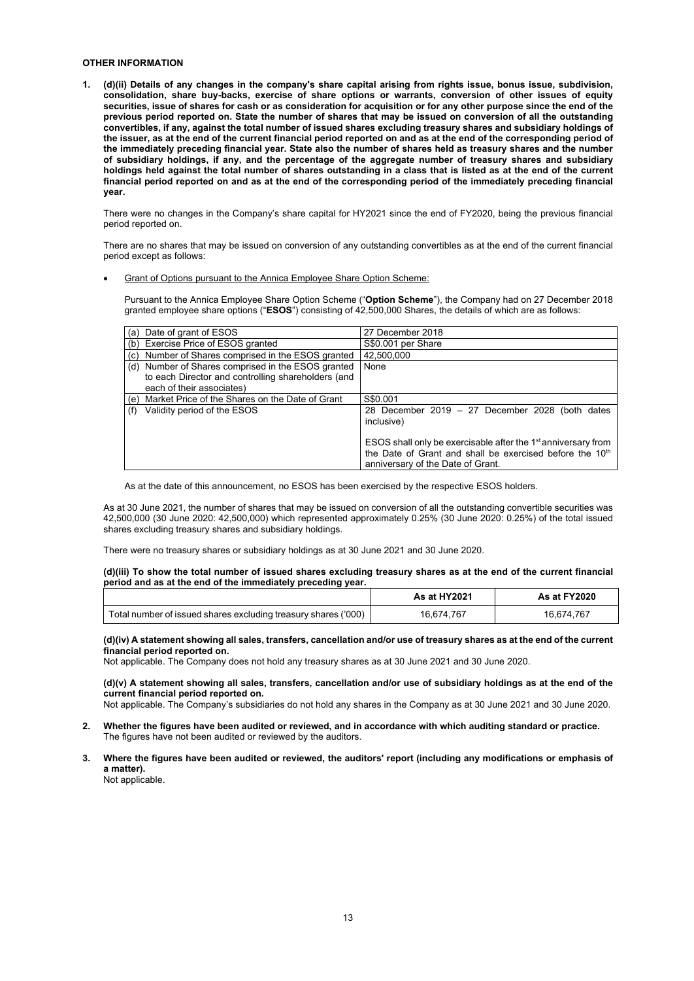# **OTHER INFORMATION**

**1. (d)(ii) Details of any changes in the company's share capital arising from rights issue, bonus issue, subdivision, consolidation, share buy-backs, exercise of share options or warrants, conversion of other issues of equity securities, issue of shares for cash or as consideration for acquisition or for any other purpose since the end of the previous period reported on. State the number of shares that may be issued on conversion of all the outstanding convertibles, if any, against the total number of issued shares excluding treasury shares and subsidiary holdings of the issuer, as at the end of the current financial period reported on and as at the end of the corresponding period of the immediately preceding financial year. State also the number of shares held as treasury shares and the number of subsidiary holdings, if any, and the percentage of the aggregate number of treasury shares and subsidiary holdings held against the total number of shares outstanding in a class that is listed as at the end of the current financial period reported on and as at the end of the corresponding period of the immediately preceding financial year.** 

There were no changes in the Company's share capital for HY2021 since the end of FY2020, being the previous financial period reported on.

There are no shares that may be issued on conversion of any outstanding convertibles as at the end of the current financial period except as follows:

# • Grant of Options pursuant to the Annica Employee Share Option Scheme:

Pursuant to the Annica Employee Share Option Scheme ("**Option Scheme**"), the Company had on 27 December 2018 granted employee share options ("**ESOS**") consisting of 42,500,000 Shares, the details of which are as follows:

|     | (a) Date of grant of ESOS                                                                                                             | 27 December 2018                                                                                                                                                                       |
|-----|---------------------------------------------------------------------------------------------------------------------------------------|----------------------------------------------------------------------------------------------------------------------------------------------------------------------------------------|
|     | (b) Exercise Price of ESOS granted                                                                                                    | S\$0.001 per Share                                                                                                                                                                     |
|     | (c) Number of Shares comprised in the ESOS granted                                                                                    | 42.500.000                                                                                                                                                                             |
|     | (d) Number of Shares comprised in the ESOS granted<br>to each Director and controlling shareholders (and<br>each of their associates) | None                                                                                                                                                                                   |
|     | (e) Market Price of the Shares on the Date of Grant                                                                                   | S\$0.001                                                                                                                                                                               |
| (f) | Validity period of the ESOS                                                                                                           | 28 December 2019 $-$ 27 December 2028 (both dates<br>inclusive)                                                                                                                        |
|     |                                                                                                                                       | ESOS shall only be exercisable after the 1 <sup>st</sup> anniversary from<br>the Date of Grant and shall be exercised before the 10 <sup>th</sup><br>anniversary of the Date of Grant. |

As at the date of this announcement, no ESOS has been exercised by the respective ESOS holders.

As at 30 June 2021, the number of shares that may be issued on conversion of all the outstanding convertible securities was 42,500,000 (30 June 2020: 42,500,000) which represented approximately 0.25% (30 June 2020: 0.25%) of the total issued shares excluding treasury shares and subsidiary holdings.

There were no treasury shares or subsidiary holdings as at 30 June 2021 and 30 June 2020.

### **(d)(iii) To show the total number of issued shares excluding treasury shares as at the end of the current financial period and as at the end of the immediately preceding year.**

|                                                                | As at HY2021 | As at FY2020 |
|----------------------------------------------------------------|--------------|--------------|
| Total number of issued shares excluding treasury shares ('000) | 16.674.767   | 16.674.767   |

### **(d)(iv) A statement showing all sales, transfers, cancellation and/or use of treasury shares as at the end of the current financial period reported on.**

Not applicable. The Company does not hold any treasury shares as at 30 June 2021 and 30 June 2020.

**(d)(v) A statement showing all sales, transfers, cancellation and/or use of subsidiary holdings as at the end of the current financial period reported on.**

Not applicable. The Company's subsidiaries do not hold any shares in the Company as at 30 June 2021 and 30 June 2020.

- **2. Whether the figures have been audited or reviewed, and in accordance with which auditing standard or practice.**  The figures have not been audited or reviewed by the auditors.
- **3. Where the figures have been audited or reviewed, the auditors' report (including any modifications or emphasis of a matter).** Not applicable.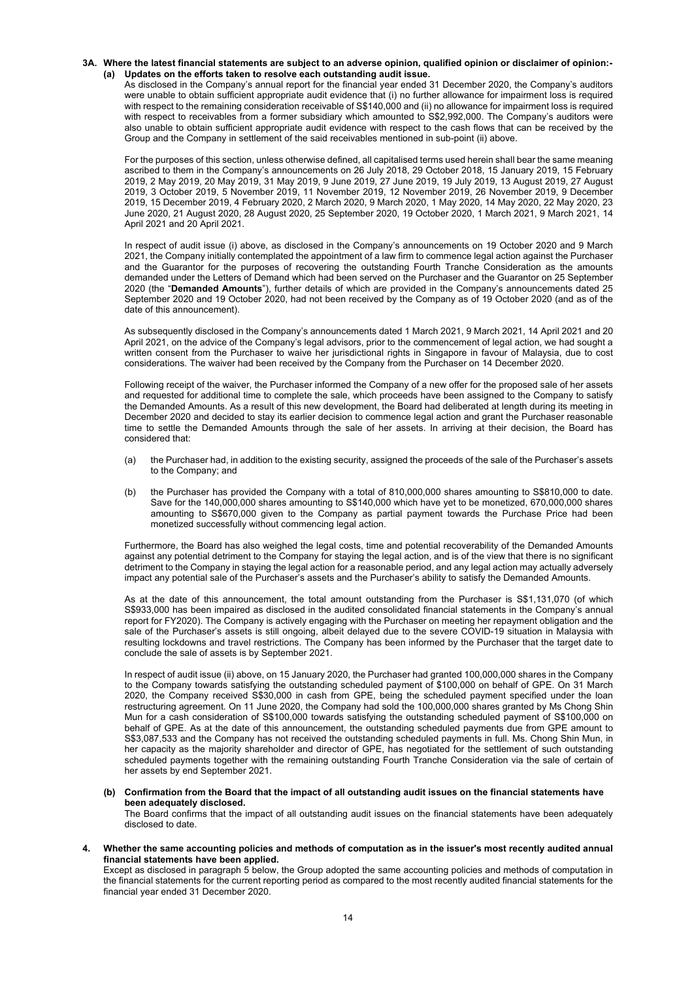# **3A. Where the latest financial statements are subject to an adverse opinion, qualified opinion or disclaimer of opinion:- (a) Updates on the efforts taken to resolve each outstanding audit issue.**

As disclosed in the Company's annual report for the financial year ended 31 December 2020, the Company's auditors were unable to obtain sufficient appropriate audit evidence that (i) no further allowance for impairment loss is required with respect to the remaining consideration receivable of S\$140,000 and (ii) no allowance for impairment loss is required with respect to receivables from a former subsidiary which amounted to S\$2,992,000. The Company's auditors were also unable to obtain sufficient appropriate audit evidence with respect to the cash flows that can be received by the Group and the Company in settlement of the said receivables mentioned in sub-point (ii) above.

For the purposes of this section, unless otherwise defined, all capitalised terms used herein shall bear the same meaning ascribed to them in the Company's announcements on 26 July 2018, 29 October 2018, 15 January 2019, 15 February 2019, 2 May 2019, 20 May 2019, 31 May 2019, 9 June 2019, 27 June 2019, 19 July 2019, 13 August 2019, 27 August 2019, 3 October 2019, 5 November 2019, 11 November 2019, 12 November 2019, 26 November 2019, 9 December 2019, 15 December 2019, 4 February 2020, 2 March 2020, 9 March 2020, 1 May 2020, 14 May 2020, 22 May 2020, 23 June 2020, 21 August 2020, 28 August 2020, 25 September 2020, 19 October 2020, 1 March 2021, 9 March 2021, 14 April 2021 and 20 April 2021.

In respect of audit issue (i) above, as disclosed in the Company's announcements on 19 October 2020 and 9 March 2021, the Company initially contemplated the appointment of a law firm to commence legal action against the Purchaser and the Guarantor for the purposes of recovering the outstanding Fourth Tranche Consideration as the amounts demanded under the Letters of Demand which had been served on the Purchaser and the Guarantor on 25 September 2020 (the "**Demanded Amounts**"), further details of which are provided in the Company's announcements dated 25 September 2020 and 19 October 2020, had not been received by the Company as of 19 October 2020 (and as of the date of this announcement).

As subsequently disclosed in the Company's announcements dated 1 March 2021, 9 March 2021, 14 April 2021 and 20 April 2021, on the advice of the Company's legal advisors, prior to the commencement of legal action, we had sought a written consent from the Purchaser to waive her jurisdictional rights in Singapore in favour of Malaysia, due to cost considerations. The waiver had been received by the Company from the Purchaser on 14 December 2020.

Following receipt of the waiver, the Purchaser informed the Company of a new offer for the proposed sale of her assets and requested for additional time to complete the sale, which proceeds have been assigned to the Company to satisfy the Demanded Amounts. As a result of this new development, the Board had deliberated at length during its meeting in December 2020 and decided to stay its earlier decision to commence legal action and grant the Purchaser reasonable time to settle the Demanded Amounts through the sale of her assets. In arriving at their decision, the Board has considered that:

- (a) the Purchaser had, in addition to the existing security, assigned the proceeds of the sale of the Purchaser's assets to the Company; and
- (b) the Purchaser has provided the Company with a total of 810,000,000 shares amounting to S\$810,000 to date. Save for the 140,000,000 shares amounting to S\$140,000 which have yet to be monetized, 670,000,000 shares amounting to S\$670,000 given to the Company as partial payment towards the Purchase Price had been monetized successfully without commencing legal action.

Furthermore, the Board has also weighed the legal costs, time and potential recoverability of the Demanded Amounts against any potential detriment to the Company for staying the legal action, and is of the view that there is no significant detriment to the Company in staying the legal action for a reasonable period, and any legal action may actually adversely impact any potential sale of the Purchaser's assets and the Purchaser's ability to satisfy the Demanded Amounts.

As at the date of this announcement, the total amount outstanding from the Purchaser is S\$1,131,070 (of which S\$933,000 has been impaired as disclosed in the audited consolidated financial statements in the Company's annual report for FY2020). The Company is actively engaging with the Purchaser on meeting her repayment obligation and the sale of the Purchaser's assets is still ongoing, albeit delayed due to the severe COVID-19 situation in Malaysia with resulting lockdowns and travel restrictions. The Company has been informed by the Purchaser that the target date to conclude the sale of assets is by September 2021.

In respect of audit issue (ii) above, on 15 January 2020, the Purchaser had granted 100,000,000 shares in the Company to the Company towards satisfying the outstanding scheduled payment of \$100,000 on behalf of GPE. On 31 March 2020, the Company received S\$30,000 in cash from GPE, being the scheduled payment specified under the loan restructuring agreement. On 11 June 2020, the Company had sold the 100,000,000 shares granted by Ms Chong Shin Mun for a cash consideration of S\$100,000 towards satisfying the outstanding scheduled payment of S\$100,000 on behalf of GPE. As at the date of this announcement, the outstanding scheduled payments due from GPE amount to S\$3,087,533 and the Company has not received the outstanding scheduled payments in full. Ms. Chong Shin Mun, in her capacity as the majority shareholder and director of GPE, has negotiated for the settlement of such outstanding scheduled payments together with the remaining outstanding Fourth Tranche Consideration via the sale of certain of her assets by end September 2021.

**(b) Confirmation from the Board that the impact of all outstanding audit issues on the financial statements have been adequately disclosed.**

The Board confirms that the impact of all outstanding audit issues on the financial statements have been adequately disclosed to date.

**4. Whether the same accounting policies and methods of computation as in the issuer's most recently audited annual financial statements have been applied.**

Except as disclosed in paragraph 5 below, the Group adopted the same accounting policies and methods of computation in the financial statements for the current reporting period as compared to the most recently audited financial statements for the financial year ended 31 December 2020.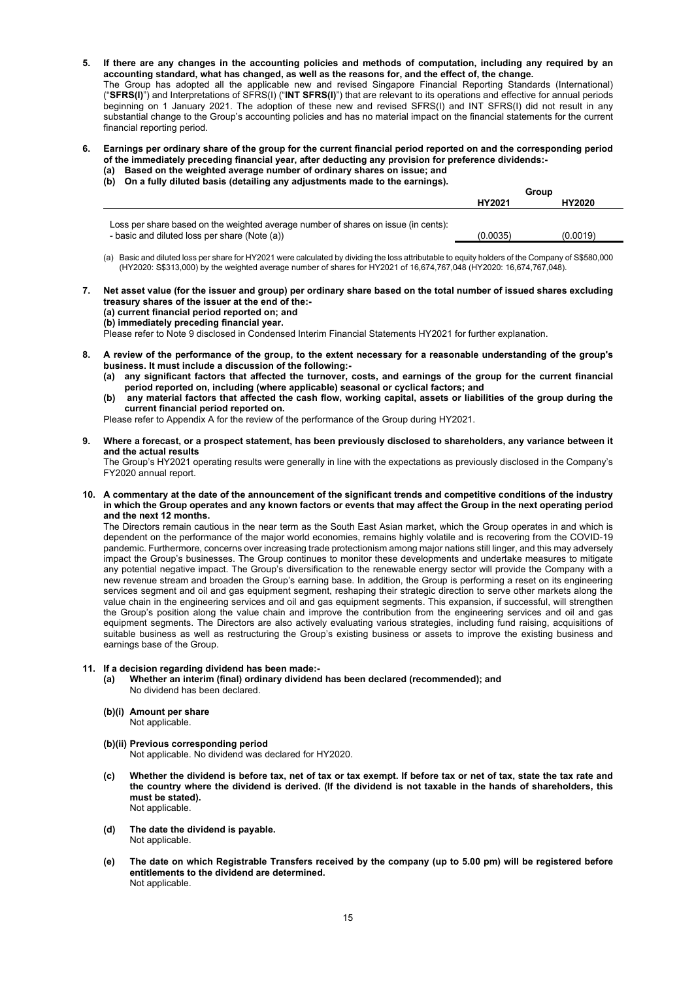- **5. If there are any changes in the accounting policies and methods of computation, including any required by an accounting standard, what has changed, as well as the reasons for, and the effect of, the change.** The Group has adopted all the applicable new and revised Singapore Financial Reporting Standards (International) ("**SFRS(I)**") and Interpretations of SFRS(I) ("**INT SFRS(I)**") that are relevant to its operations and effective for annual periods beginning on 1 January 2021. The adoption of these new and revised SFRS(I) and INT SFRS(I) did not result in any substantial change to the Group's accounting policies and has no material impact on the financial statements for the current financial reporting period.
- **6. Earnings per ordinary share of the group for the current financial period reported on and the corresponding period of the immediately preceding financial year, after deducting any provision for preference dividends:-**
	- **(a) Based on the weighted average number of ordinary shares on issue; and (b) On a fully diluted basis (detailing any adjustments made to the earnings).**

|                                                                                    | Group    |          |  |
|------------------------------------------------------------------------------------|----------|----------|--|
|                                                                                    | HY2021   | HY2020   |  |
|                                                                                    |          |          |  |
| Loss per share based on the weighted average number of shares on issue (in cents): |          |          |  |
| - basic and diluted loss per share (Note (a))                                      | (0.0035) | (0.0019) |  |

- (a) Basic and diluted loss per share for HY2021 were calculated by dividing the loss attributable to equity holders of the Company of S\$580,000 (HY2020: S\$313,000) by the weighted average number of shares for HY2021 of 16,674,767,048 (HY2020: 16,674,767,048).
- **7. Net asset value (for the issuer and group) per ordinary share based on the total number of issued shares excluding treasury shares of the issuer at the end of the:- (a) current financial period reported on; and (b) immediately preceding financial year.**  Please refer to Note 9 disclosed in Condensed Interim Financial Statements HY2021 for further explanation.
- **8. A review of the performance of the group, to the extent necessary for a reasonable understanding of the group's** 
	- **business. It must include a discussion of the following:-**
		- **(a) any significant factors that affected the turnover, costs, and earnings of the group for the current financial period reported on, including (where applicable) seasonal or cyclical factors; and**
		- **(b) any material factors that affected the cash flow, working capital, assets or liabilities of the group during the current financial period reported on.**

Please refer to Appendix A for the review of the performance of the Group during HY2021.

**9. Where a forecast, or a prospect statement, has been previously disclosed to shareholders, any variance between it and the actual results**

The Group's HY2021 operating results were generally in line with the expectations as previously disclosed in the Company's FY2020 annual report.

**10. A commentary at the date of the announcement of the significant trends and competitive conditions of the industry in which the Group operates and any known factors or events that may affect the Group in the next operating period and the next 12 months.**

The Directors remain cautious in the near term as the South East Asian market, which the Group operates in and which is dependent on the performance of the major world economies, remains highly volatile and is recovering from the COVID-19 pandemic. Furthermore, concerns over increasing trade protectionism among major nations still linger, and this may adversely impact the Group's businesses. The Group continues to monitor these developments and undertake measures to mitigate any potential negative impact. The Group's diversification to the renewable energy sector will provide the Company with a new revenue stream and broaden the Group's earning base. In addition, the Group is performing a reset on its engineering services segment and oil and gas equipment segment, reshaping their strategic direction to serve other markets along the value chain in the engineering services and oil and gas equipment segments. This expansion, if successful, will strengthen the Group's position along the value chain and improve the contribution from the engineering services and oil and gas equipment segments. The Directors are also actively evaluating various strategies, including fund raising, acquisitions of suitable business as well as restructuring the Group's existing business or assets to improve the existing business and earnings base of the Group.

# **11. If a decision regarding dividend has been made:-**

- **(a) Whether an interim (final) ordinary dividend has been declared (recommended); and** No dividend has been declared.
- **(b)(i) Amount per share** Not applicable.
- **(b)(ii) Previous corresponding period**  Not applicable. No dividend was declared for HY2020.
- **(c) Whether the dividend is before tax, net of tax or tax exempt. If before tax or net of tax, state the tax rate and the country where the dividend is derived. (If the dividend is not taxable in the hands of shareholders, this must be stated).**  Not applicable.
- **(d) The date the dividend is payable.** Not applicable.
- **(e) The date on which Registrable Transfers received by the company (up to 5.00 pm) will be registered before entitlements to the dividend are determined.** Not applicable.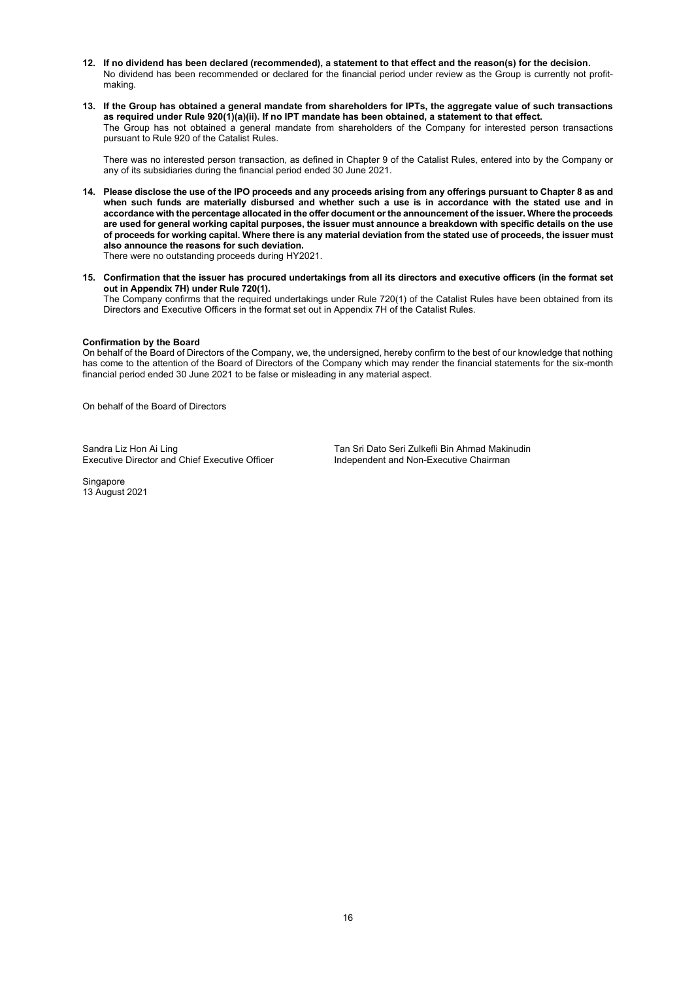- **12. If no dividend has been declared (recommended), a statement to that effect and the reason(s) for the decision.** No dividend has been recommended or declared for the financial period under review as the Group is currently not profitmaking.
- **13. If the Group has obtained a general mandate from shareholders for IPTs, the aggregate value of such transactions as required under Rule 920(1)(a)(ii). If no IPT mandate has been obtained, a statement to that effect.** The Group has not obtained a general mandate from shareholders of the Company for interested person transactions pursuant to Rule 920 of the Catalist Rules.

There was no interested person transaction, as defined in Chapter 9 of the Catalist Rules, entered into by the Company or any of its subsidiaries during the financial period ended 30 June 2021.

- **14. Please disclose the use of the IPO proceeds and any proceeds arising from any offerings pursuant to Chapter 8 as and when such funds are materially disbursed and whether such a use is in accordance with the stated use and in accordance with the percentage allocated in the offer document or the announcement of the issuer. Where the proceeds are used for general working capital purposes, the issuer must announce a breakdown with specific details on the use of proceeds for working capital. Where there is any material deviation from the stated use of proceeds, the issuer must also announce the reasons for such deviation.** There were no outstanding proceeds during HY2021.
- **15. Confirmation that the issuer has procured undertakings from all its directors and executive officers (in the format set out in Appendix 7H) under Rule 720(1).** The Company confirms that the required undertakings under Rule 720(1) of the Catalist Rules have been obtained from its Directors and Executive Officers in the format set out in Appendix 7H of the Catalist Rules.

# **Confirmation by the Board**

On behalf of the Board of Directors of the Company, we, the undersigned, hereby confirm to the best of our knowledge that nothing has come to the attention of the Board of Directors of the Company which may render the financial statements for the six-month financial period ended 30 June 2021 to be false or misleading in any material aspect.

On behalf of the Board of Directors

Executive Director and Chief Executive Officer

Sandra Liz Hon Ai Ling<br>
Executive Director and Chief Executive Officer
Tan Sri Dato Seri Zulkefli Bin Ahmad Makinudin<br>
Independent and Non-Executive Chairman

**Singapore** 13 August 2021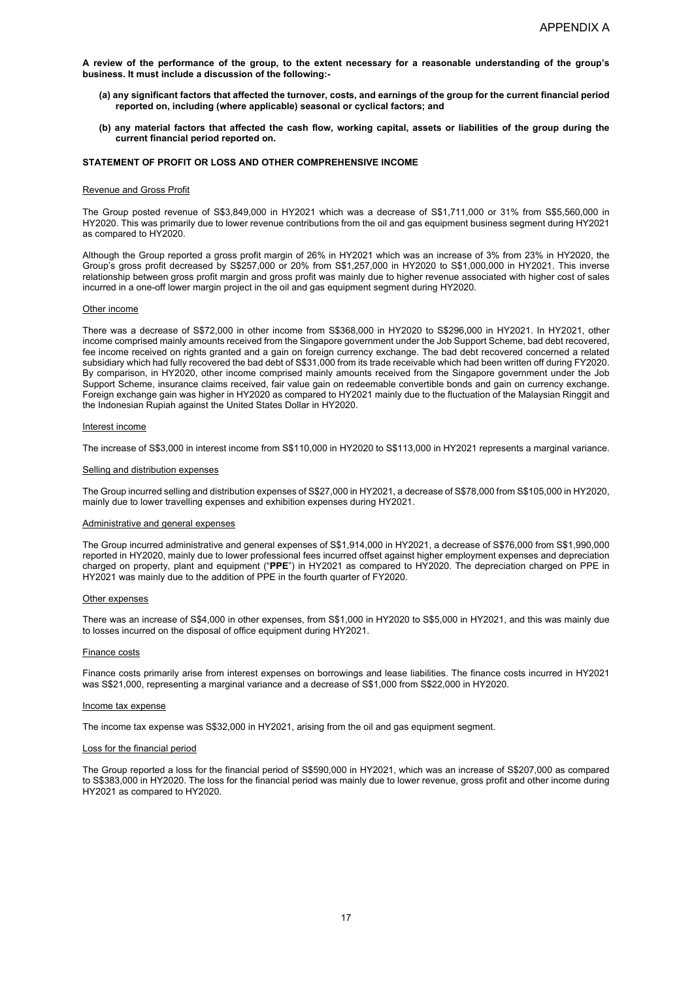- **(a) any significant factors that affected the turnover, costs, and earnings of the group for the current financial period reported on, including (where applicable) seasonal or cyclical factors; and**
- **(b) any material factors that affected the cash flow, working capital, assets or liabilities of the group during the current financial period reported on.**

# **STATEMENT OF PROFIT OR LOSS AND OTHER COMPREHENSIVE INCOME**

# Revenue and Gross Profit

The Group posted revenue of S\$3,849,000 in HY2021 which was a decrease of S\$1,711,000 or 31% from S\$5,560,000 in HY2020. This was primarily due to lower revenue contributions from the oil and gas equipment business segment during HY2021 as compared to HY2020.

Although the Group reported a gross profit margin of 26% in HY2021 which was an increase of 3% from 23% in HY2020, the Group's gross profit decreased by S\$257,000 or 20% from S\$1,257,000 in HY2020 to S\$1,000,000 in HY2021. This inverse relationship between gross profit margin and gross profit was mainly due to higher revenue associated with higher cost of sales incurred in a one-off lower margin project in the oil and gas equipment segment during HY2020.

### Other income

There was a decrease of S\$72,000 in other income from S\$368,000 in HY2020 to S\$296,000 in HY2021. In HY2021, other income comprised mainly amounts received from the Singapore government under the Job Support Scheme, bad debt recovered, fee income received on rights granted and a gain on foreign currency exchange. The bad debt recovered concerned a related subsidiary which had fully recovered the bad debt of S\$31,000 from its trade receivable which had been written off during FY2020. By comparison, in HY2020, other income comprised mainly amounts received from the Singapore government under the Job Support Scheme, insurance claims received, fair value gain on redeemable convertible bonds and gain on currency exchange. Foreign exchange gain was higher in HY2020 as compared to HY2021 mainly due to the fluctuation of the Malaysian Ringgit and the Indonesian Rupiah against the United States Dollar in HY2020.

# Interest income

The increase of S\$3,000 in interest income from S\$110,000 in HY2020 to S\$113,000 in HY2021 represents a marginal variance.

### Selling and distribution expenses

The Group incurred selling and distribution expenses of S\$27,000 in HY2021, a decrease of S\$78,000 from S\$105,000 in HY2020, mainly due to lower travelling expenses and exhibition expenses during HY2021.

#### Administrative and general expenses

The Group incurred administrative and general expenses of S\$1,914,000 in HY2021, a decrease of S\$76,000 from S\$1,990,000 reported in HY2020, mainly due to lower professional fees incurred offset against higher employment expenses and depreciation charged on property, plant and equipment ("**PPE**") in HY2021 as compared to HY2020. The depreciation charged on PPE in HY2021 was mainly due to the addition of PPE in the fourth quarter of FY2020.

#### Other expenses

There was an increase of S\$4,000 in other expenses, from S\$1,000 in HY2020 to S\$5,000 in HY2021, and this was mainly due to losses incurred on the disposal of office equipment during HY2021.

#### Finance costs

Finance costs primarily arise from interest expenses on borrowings and lease liabilities. The finance costs incurred in HY2021 was S\$21,000, representing a marginal variance and a decrease of S\$1,000 from S\$22,000 in HY2020.

### Income tax expense

The income tax expense was S\$32,000 in HY2021, arising from the oil and gas equipment segment.

### Loss for the financial period

The Group reported a loss for the financial period of S\$590,000 in HY2021, which was an increase of S\$207,000 as compared to S\$383,000 in HY2020. The loss for the financial period was mainly due to lower revenue, gross profit and other income during HY2021 as compared to HY2020.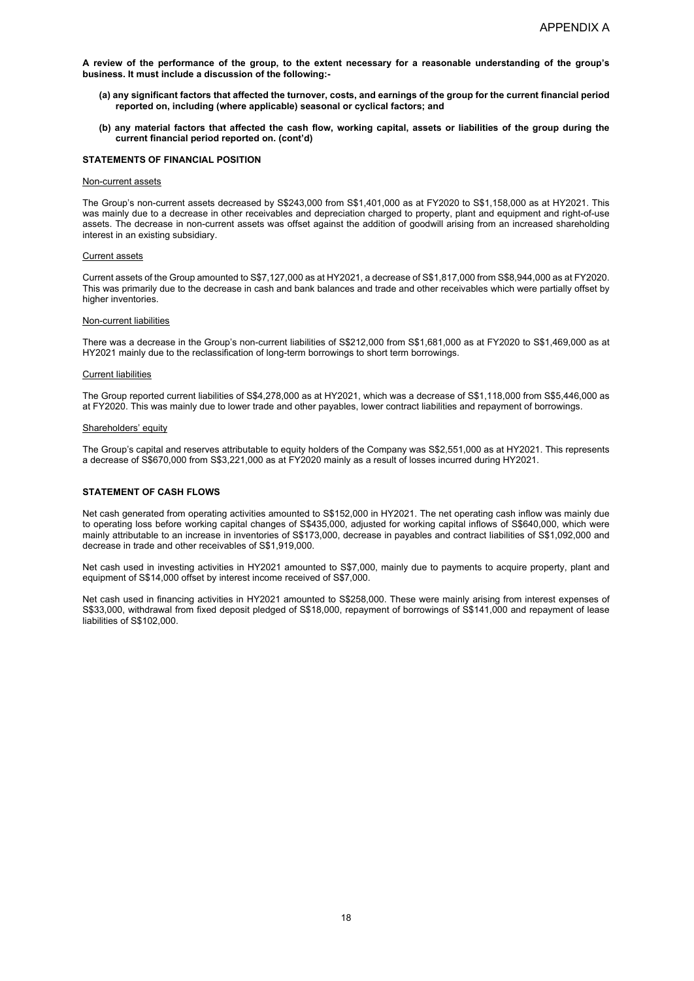- **(a) any significant factors that affected the turnover, costs, and earnings of the group for the current financial period reported on, including (where applicable) seasonal or cyclical factors; and**
- **(b) any material factors that affected the cash flow, working capital, assets or liabilities of the group during the current financial period reported on. (cont'd)**

# **STATEMENTS OF FINANCIAL POSITION**

### Non-current assets

The Group's non-current assets decreased by S\$243,000 from S\$1,401,000 as at FY2020 to S\$1,158,000 as at HY2021. This was mainly due to a decrease in other receivables and depreciation charged to property, plant and equipment and right-of-use assets. The decrease in non-current assets was offset against the addition of goodwill arising from an increased shareholding interest in an existing subsidiary.

### Current assets

Current assets of the Group amounted to S\$7,127,000 as at HY2021, a decrease of S\$1,817,000 from S\$8,944,000 as at FY2020. This was primarily due to the decrease in cash and bank balances and trade and other receivables which were partially offset by higher inventories.

## Non-current liabilities

There was a decrease in the Group's non-current liabilities of S\$212,000 from S\$1,681,000 as at FY2020 to S\$1,469,000 as at HY2021 mainly due to the reclassification of long-term borrowings to short term borrowings.

## Current liabilities

The Group reported current liabilities of S\$4,278,000 as at HY2021, which was a decrease of S\$1,118,000 from S\$5,446,000 as at FY2020. This was mainly due to lower trade and other payables, lower contract liabilities and repayment of borrowings.

# Shareholders' equity

The Group's capital and reserves attributable to equity holders of the Company was S\$2,551,000 as at HY2021. This represents a decrease of S\$670,000 from S\$3,221,000 as at FY2020 mainly as a result of losses incurred during HY2021.

# **STATEMENT OF CASH FLOWS**

Net cash generated from operating activities amounted to S\$152,000 in HY2021. The net operating cash inflow was mainly due to operating loss before working capital changes of S\$435,000, adjusted for working capital inflows of S\$640,000, which were mainly attributable to an increase in inventories of S\$173,000, decrease in payables and contract liabilities of S\$1,092,000 and decrease in trade and other receivables of S\$1,919,000.

Net cash used in investing activities in HY2021 amounted to S\$7,000, mainly due to payments to acquire property, plant and equipment of S\$14,000 offset by interest income received of S\$7,000.

Net cash used in financing activities in HY2021 amounted to S\$258,000. These were mainly arising from interest expenses of S\$33,000, withdrawal from fixed deposit pledged of S\$18,000, repayment of borrowings of S\$141,000 and repayment of lease liabilities of S\$102,000.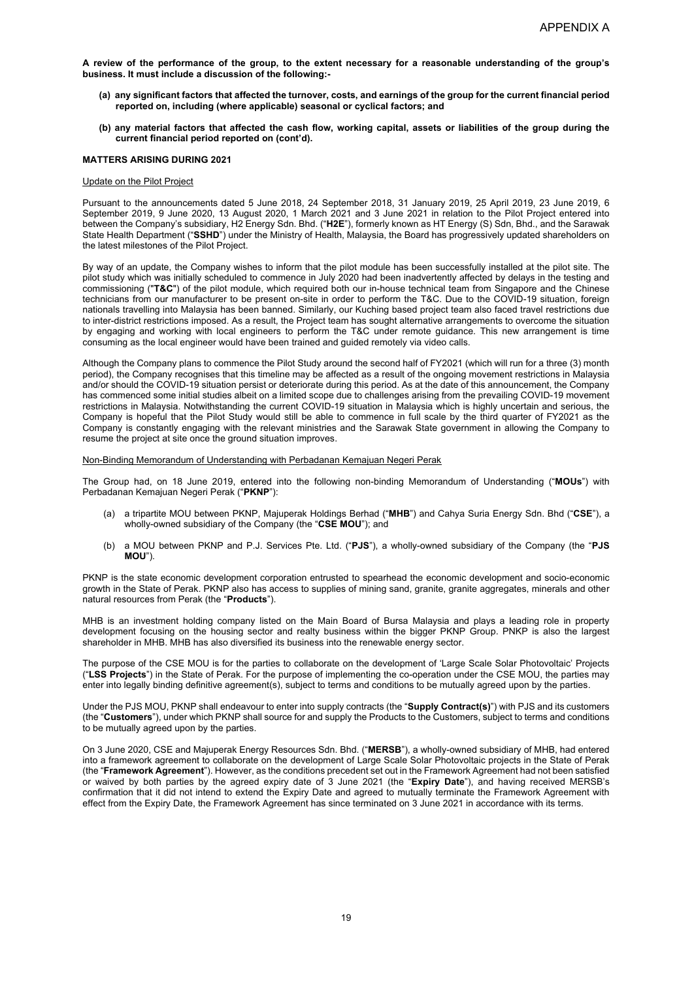- **(a) any significant factors that affected the turnover, costs, and earnings of the group for the current financial period reported on, including (where applicable) seasonal or cyclical factors; and**
- **(b) any material factors that affected the cash flow, working capital, assets or liabilities of the group during the current financial period reported on (cont'd).**

## **MATTERS ARISING DURING 2021**

## Update on the Pilot Project

Pursuant to the announcements dated 5 June 2018, 24 September 2018, 31 January 2019, 25 April 2019, 23 June 2019, 6 September 2019, 9 June 2020, 13 August 2020, 1 March 2021 and 3 June 2021 in relation to the Pilot Project entered into between the Company's subsidiary, H2 Energy Sdn. Bhd. ("**H2E**"), formerly known as HT Energy (S) Sdn, Bhd., and the Sarawak State Health Department ("**SSHD**") under the Ministry of Health, Malaysia, the Board has progressively updated shareholders on the latest milestones of the Pilot Project.

By way of an update, the Company wishes to inform that the pilot module has been successfully installed at the pilot site. The pilot study which was initially scheduled to commence in July 2020 had been inadvertently affected by delays in the testing and commissioning ("**T&C**") of the pilot module, which required both our in-house technical team from Singapore and the Chinese technicians from our manufacturer to be present on-site in order to perform the T&C. Due to the COVID-19 situation, foreign nationals travelling into Malaysia has been banned. Similarly, our Kuching based project team also faced travel restrictions due to inter-district restrictions imposed. As a result, the Project team has sought alternative arrangements to overcome the situation by engaging and working with local engineers to perform the T&C under remote guidance. This new arrangement is time consuming as the local engineer would have been trained and guided remotely via video calls.

Although the Company plans to commence the Pilot Study around the second half of FY2021 (which will run for a three (3) month period), the Company recognises that this timeline may be affected as a result of the ongoing movement restrictions in Malaysia and/or should the COVID-19 situation persist or deteriorate during this period. As at the date of this announcement, the Company has commenced some initial studies albeit on a limited scope due to challenges arising from the prevailing COVID-19 movement restrictions in Malaysia. Notwithstanding the current COVID-19 situation in Malaysia which is highly uncertain and serious, the Company is hopeful that the Pilot Study would still be able to commence in full scale by the third quarter of FY2021 as the Company is constantly engaging with the relevant ministries and the Sarawak State government in allowing the Company to resume the project at site once the ground situation improves.

Non-Binding Memorandum of Understanding with Perbadanan Kemajuan Negeri Perak

The Group had, on 18 June 2019, entered into the following non-binding Memorandum of Understanding ("**MOUs**") with Perbadanan Kemajuan Negeri Perak ("**PKNP**"):

- (a) a tripartite MOU between PKNP, Majuperak Holdings Berhad ("**MHB**") and Cahya Suria Energy Sdn. Bhd ("**CSE**"), a wholly-owned subsidiary of the Company (the "**CSE MOU**"); and
- (b) a MOU between PKNP and P.J. Services Pte. Ltd. ("**PJS**"), a wholly-owned subsidiary of the Company (the "**PJS MOU**").

PKNP is the state economic development corporation entrusted to spearhead the economic development and socio-economic growth in the State of Perak. PKNP also has access to supplies of mining sand, granite, granite aggregates, minerals and other natural resources from Perak (the "**Products**").

MHB is an investment holding company listed on the Main Board of Bursa Malaysia and plays a leading role in property development focusing on the housing sector and realty business within the bigger PKNP Group. PNKP is also the largest shareholder in MHB. MHB has also diversified its business into the renewable energy sector.

The purpose of the CSE MOU is for the parties to collaborate on the development of 'Large Scale Solar Photovoltaic' Projects ("**LSS Projects**") in the State of Perak. For the purpose of implementing the co-operation under the CSE MOU, the parties may enter into legally binding definitive agreement(s), subject to terms and conditions to be mutually agreed upon by the parties.

Under the PJS MOU, PKNP shall endeavour to enter into supply contracts (the "**Supply Contract(s)**") with PJS and its customers (the "**Customers**"), under which PKNP shall source for and supply the Products to the Customers, subject to terms and conditions to be mutually agreed upon by the parties.

On 3 June 2020, CSE and Majuperak Energy Resources Sdn. Bhd. ("**MERSB**"), a wholly-owned subsidiary of MHB, had entered into a framework agreement to collaborate on the development of Large Scale Solar Photovoltaic projects in the State of Perak (the "**Framework Agreement**"). However, as the conditions precedent set out in the Framework Agreement had not been satisfied or waived by both parties by the agreed expiry date of 3 June 2021 (the "**Expiry Date**"), and having received MERSB's confirmation that it did not intend to extend the Expiry Date and agreed to mutually terminate the Framework Agreement with effect from the Expiry Date, the Framework Agreement has since terminated on 3 June 2021 in accordance with its terms.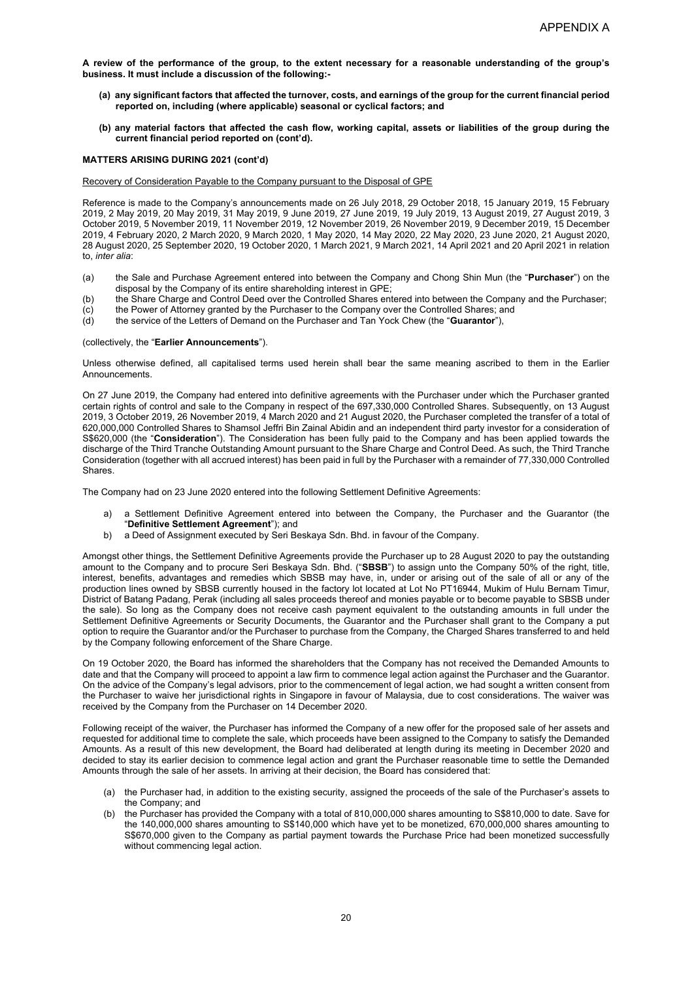- **(a) any significant factors that affected the turnover, costs, and earnings of the group for the current financial period reported on, including (where applicable) seasonal or cyclical factors; and**
- **(b) any material factors that affected the cash flow, working capital, assets or liabilities of the group during the current financial period reported on (cont'd).**

# **MATTERS ARISING DURING 2021 (cont'd)**

Recovery of Consideration Payable to the Company pursuant to the Disposal of GPE

Reference is made to the Company's announcements made on 26 July 2018, 29 October 2018, 15 January 2019, 15 February 2019, 2 May 2019, 20 May 2019, 31 May 2019, 9 June 2019, 27 June 2019, 19 July 2019, 13 August 2019, 27 August 2019, 3 October 2019, 5 November 2019, 11 November 2019, 12 November 2019, 26 November 2019, 9 December 2019, 15 December 2019, 4 February 2020, 2 March 2020, 9 March 2020, 1 May 2020, 14 May 2020, 22 May 2020, 23 June 2020, 21 August 2020, 28 August 2020, 25 September 2020, 19 October 2020, 1 March 2021, 9 March 2021, 14 April 2021 and 20 April 2021 in relation to, *inter alia*:

- (a) the Sale and Purchase Agreement entered into between the Company and Chong Shin Mun (the "**Purchaser**") on the disposal by the Company of its entire shareholding interest in GPE;
- (b) the Share Charge and Control Deed over the Controlled Shares entered into between the Company and the Purchaser;<br>(c) the Power of Attorney granted by the Purchaser to the Company over the Controlled Shares; and
- (c) the Power of Attorney granted by the Purchaser to the Company over the Controlled Shares; and (d) the service of the Letters of Demand on the Purchaser and Tan Yock Chew (the "**Guarantor**"),
- (d) the service of the Letters of Demand on the Purchaser and Tan Yock Chew (the "**Guarantor**"),

### (collectively, the "**Earlier Announcements**").

Unless otherwise defined, all capitalised terms used herein shall bear the same meaning ascribed to them in the Earlier Announcements.

On 27 June 2019, the Company had entered into definitive agreements with the Purchaser under which the Purchaser granted certain rights of control and sale to the Company in respect of the 697,330,000 Controlled Shares. Subsequently, on 13 August 2019, 3 October 2019, 26 November 2019, 4 March 2020 and 21 August 2020, the Purchaser completed the transfer of a total of 620,000,000 Controlled Shares to Shamsol Jeffri Bin Zainal Abidin and an independent third party investor for a consideration of S\$620,000 (the "**Consideration**"). The Consideration has been fully paid to the Company and has been applied towards the discharge of the Third Tranche Outstanding Amount pursuant to the Share Charge and Control Deed. As such, the Third Tranche Consideration (together with all accrued interest) has been paid in full by the Purchaser with a remainder of 77,330,000 Controlled **Shares** 

The Company had on 23 June 2020 entered into the following Settlement Definitive Agreements:

- a) a Settlement Definitive Agreement entered into between the Company, the Purchaser and the Guarantor (the "**Definitive Settlement Agreement**"); and
- b) a Deed of Assignment executed by Seri Beskaya Sdn. Bhd. in favour of the Company.

Amongst other things, the Settlement Definitive Agreements provide the Purchaser up to 28 August 2020 to pay the outstanding amount to the Company and to procure Seri Beskaya Sdn. Bhd. ("**SBSB**") to assign unto the Company 50% of the right, title, interest, benefits, advantages and remedies which SBSB may have, in, under or arising out of the sale of all or any of the production lines owned by SBSB currently housed in the factory lot located at Lot No PT16944, Mukim of Hulu Bernam Timur, District of Batang Padang, Perak (including all sales proceeds thereof and monies payable or to become payable to SBSB under the sale). So long as the Company does not receive cash payment equivalent to the outstanding amounts in full under the Settlement Definitive Agreements or Security Documents, the Guarantor and the Purchaser shall grant to the Company a put option to require the Guarantor and/or the Purchaser to purchase from the Company, the Charged Shares transferred to and held by the Company following enforcement of the Share Charge.

On 19 October 2020, the Board has informed the shareholders that the Company has not received the Demanded Amounts to date and that the Company will proceed to appoint a law firm to commence legal action against the Purchaser and the Guarantor. On the advice of the Company's legal advisors, prior to the commencement of legal action, we had sought a written consent from the Purchaser to waive her jurisdictional rights in Singapore in favour of Malaysia, due to cost considerations. The waiver was received by the Company from the Purchaser on 14 December 2020.

Following receipt of the waiver, the Purchaser has informed the Company of a new offer for the proposed sale of her assets and requested for additional time to complete the sale, which proceeds have been assigned to the Company to satisfy the Demanded Amounts. As a result of this new development, the Board had deliberated at length during its meeting in December 2020 and decided to stay its earlier decision to commence legal action and grant the Purchaser reasonable time to settle the Demanded Amounts through the sale of her assets. In arriving at their decision, the Board has considered that:

- (a) the Purchaser had, in addition to the existing security, assigned the proceeds of the sale of the Purchaser's assets to the Company; and
- (b) the Purchaser has provided the Company with a total of 810,000,000 shares amounting to S\$810,000 to date. Save for the 140,000,000 shares amounting to S\$140,000 which have yet to be monetized, 670,000,000 shares amounting to S\$670,000 given to the Company as partial payment towards the Purchase Price had been monetized successfully without commencing legal action.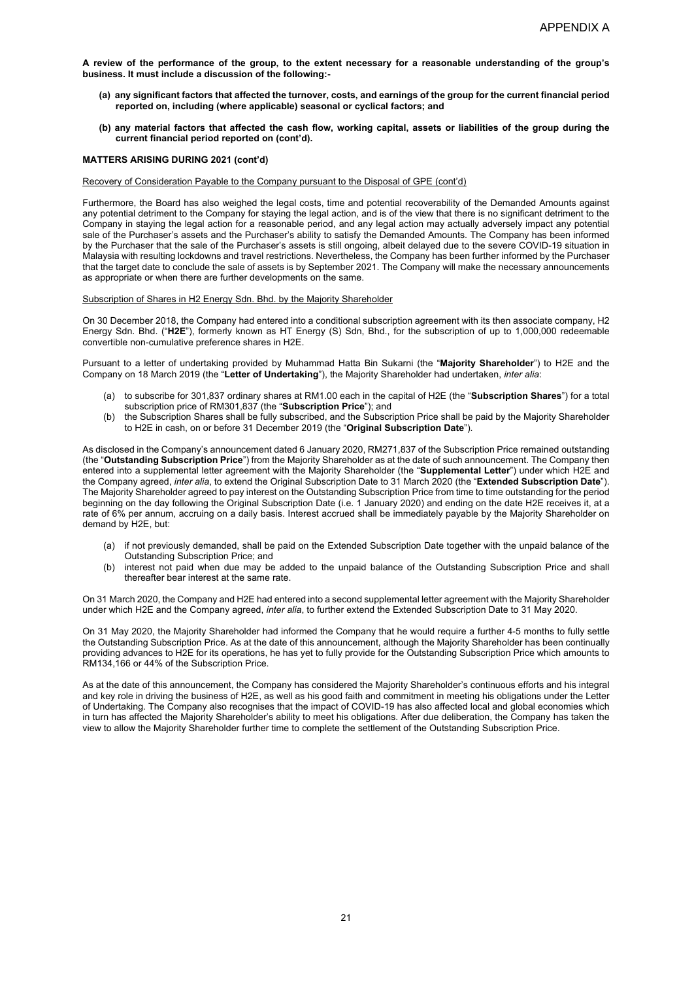- **(a) any significant factors that affected the turnover, costs, and earnings of the group for the current financial period reported on, including (where applicable) seasonal or cyclical factors; and**
- **(b) any material factors that affected the cash flow, working capital, assets or liabilities of the group during the current financial period reported on (cont'd).**

# **MATTERS ARISING DURING 2021 (cont'd)**

# Recovery of Consideration Payable to the Company pursuant to the Disposal of GPE (cont'd)

Furthermore, the Board has also weighed the legal costs, time and potential recoverability of the Demanded Amounts against any potential detriment to the Company for staying the legal action, and is of the view that there is no significant detriment to the Company in staying the legal action for a reasonable period, and any legal action may actually adversely impact any potential sale of the Purchaser's assets and the Purchaser's ability to satisfy the Demanded Amounts. The Company has been informed by the Purchaser that the sale of the Purchaser's assets is still ongoing, albeit delayed due to the severe COVID-19 situation in Malaysia with resulting lockdowns and travel restrictions. Nevertheless, the Company has been further informed by the Purchaser that the target date to conclude the sale of assets is by September 2021. The Company will make the necessary announcements as appropriate or when there are further developments on the same.

# Subscription of Shares in H2 Energy Sdn. Bhd. by the Majority Shareholder

On 30 December 2018, the Company had entered into a conditional subscription agreement with its then associate company, H2 Energy Sdn. Bhd. ("**H2E**"), formerly known as HT Energy (S) Sdn, Bhd., for the subscription of up to 1,000,000 redeemable convertible non-cumulative preference shares in H2E.

Pursuant to a letter of undertaking provided by Muhammad Hatta Bin Sukarni (the "**Majority Shareholder**") to H2E and the Company on 18 March 2019 (the "**Letter of Undertaking**"), the Majority Shareholder had undertaken, *inter alia*:

- (a) to subscribe for 301,837 ordinary shares at RM1.00 each in the capital of H2E (the "**Subscription Shares**") for a total subscription price of RM301,837 (the "**Subscription Price**"); and
- (b) the Subscription Shares shall be fully subscribed, and the Subscription Price shall be paid by the Majority Shareholder to H2E in cash, on or before 31 December 2019 (the "**Original Subscription Date**").

As disclosed in the Company's announcement dated 6 January 2020, RM271,837 of the Subscription Price remained outstanding (the "**Outstanding Subscription Price**") from the Majority Shareholder as at the date of such announcement. The Company then entered into a supplemental letter agreement with the Majority Shareholder (the "**Supplemental Letter**") under which H2E and the Company agreed, *inter alia*, to extend the Original Subscription Date to 31 March 2020 (the "**Extended Subscription Date**"). The Majority Shareholder agreed to pay interest on the Outstanding Subscription Price from time to time outstanding for the period beginning on the day following the Original Subscription Date (i.e. 1 January 2020) and ending on the date H2E receives it, at a rate of 6% per annum, accruing on a daily basis. Interest accrued shall be immediately payable by the Majority Shareholder on demand by H2E, but:

- (a) if not previously demanded, shall be paid on the Extended Subscription Date together with the unpaid balance of the Outstanding Subscription Price; and
- (b) interest not paid when due may be added to the unpaid balance of the Outstanding Subscription Price and shall thereafter bear interest at the same rate.

On 31 March 2020, the Company and H2E had entered into a second supplemental letter agreement with the Majority Shareholder under which H2E and the Company agreed, *inter alia*, to further extend the Extended Subscription Date to 31 May 2020.

On 31 May 2020, the Majority Shareholder had informed the Company that he would require a further 4-5 months to fully settle the Outstanding Subscription Price. As at the date of this announcement, although the Majority Shareholder has been continually providing advances to H2E for its operations, he has yet to fully provide for the Outstanding Subscription Price which amounts to RM134,166 or 44% of the Subscription Price.

As at the date of this announcement, the Company has considered the Majority Shareholder's continuous efforts and his integral and key role in driving the business of H2E, as well as his good faith and commitment in meeting his obligations under the Letter of Undertaking. The Company also recognises that the impact of COVID-19 has also affected local and global economies which in turn has affected the Majority Shareholder's ability to meet his obligations. After due deliberation, the Company has taken the view to allow the Majority Shareholder further time to complete the settlement of the Outstanding Subscription Price.